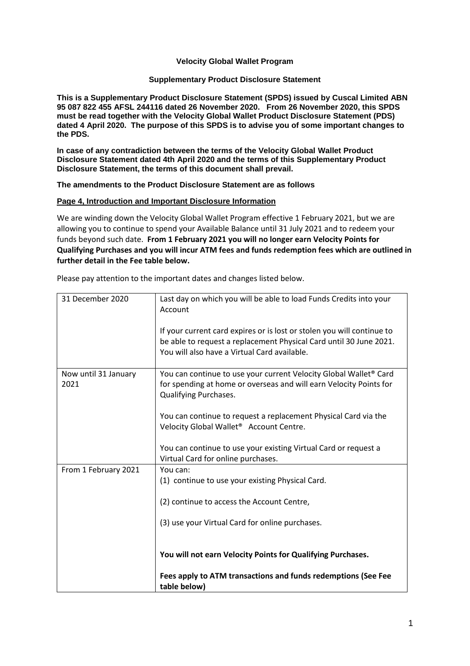#### **Velocity Global Wallet Program**

#### **Supplementary Product Disclosure Statement**

**This is a Supplementary Product Disclosure Statement (SPDS) issued by Cuscal Limited ABN 95 087 822 455 AFSL 244116 dated 26 November 2020. From 26 November 2020, this SPDS must be read together with the Velocity Global Wallet Product Disclosure Statement (PDS) dated 4 April 2020. The purpose of this SPDS is to advise you of some important changes to the PDS.**

**In case of any contradiction between the terms of the Velocity Global Wallet Product Disclosure Statement dated 4th April 2020 and the terms of this Supplementary Product Disclosure Statement, the terms of this document shall prevail.** 

**The amendments to the Product Disclosure Statement are as follows**

#### **Page 4, Introduction and Important Disclosure Information**

We are winding down the Velocity Global Wallet Program effective 1 February 2021, but we are allowing you to continue to spend your Available Balance until 31 July 2021 and to redeem your funds beyond such date. **From 1 February 2021 you will no longer earn Velocity Points for Qualifying Purchases and you will incur ATM fees and funds redemption fees which are outlined in further detail in the Fee table below.**

| 31 December 2020     | Last day on which you will be able to load Funds Credits into your                                 |
|----------------------|----------------------------------------------------------------------------------------------------|
|                      | Account                                                                                            |
|                      | If your current card expires or is lost or stolen you will continue to                             |
|                      | be able to request a replacement Physical Card until 30 June 2021.                                 |
|                      | You will also have a Virtual Card available.                                                       |
| Now until 31 January | You can continue to use your current Velocity Global Wallet® Card                                  |
| 2021                 | for spending at home or overseas and will earn Velocity Points for<br><b>Qualifying Purchases.</b> |
|                      |                                                                                                    |
|                      | You can continue to request a replacement Physical Card via the                                    |
|                      | Velocity Global Wallet <sup>®</sup> Account Centre.                                                |
|                      | You can continue to use your existing Virtual Card or request a                                    |
|                      | Virtual Card for online purchases.                                                                 |
| From 1 February 2021 | You can:                                                                                           |
|                      | (1) continue to use your existing Physical Card.                                                   |
|                      | (2) continue to access the Account Centre,                                                         |
|                      |                                                                                                    |
|                      | (3) use your Virtual Card for online purchases.                                                    |
|                      |                                                                                                    |
|                      | You will not earn Velocity Points for Qualifying Purchases.                                        |
|                      | Fees apply to ATM transactions and funds redemptions (See Fee                                      |
|                      | table below)                                                                                       |

Please pay attention to the important dates and changes listed below.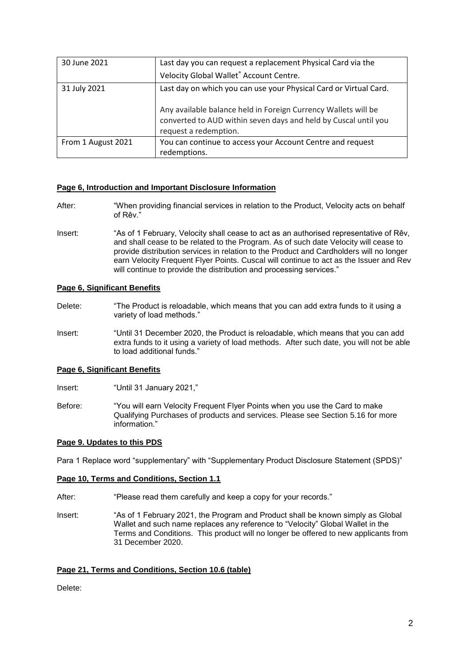| 30 June 2021       | Last day you can request a replacement Physical Card via the                                                                                               |  |  |
|--------------------|------------------------------------------------------------------------------------------------------------------------------------------------------------|--|--|
|                    | Velocity Global Wallet® Account Centre.                                                                                                                    |  |  |
| 31 July 2021       | Last day on which you can use your Physical Card or Virtual Card.                                                                                          |  |  |
|                    | Any available balance held in Foreign Currency Wallets will be<br>converted to AUD within seven days and held by Cuscal until you<br>request a redemption. |  |  |
| From 1 August 2021 | You can continue to access your Account Centre and request<br>redemptions.                                                                                 |  |  |

#### **Page 6, Introduction and Important Disclosure Information**

- After: "When providing financial services in relation to the Product, Velocity acts on behalf of Rêv."
- Insert: "As of 1 February, Velocity shall cease to act as an authorised representative of Rêv, and shall cease to be related to the Program. As of such date Velocity will cease to provide distribution services in relation to the Product and Cardholders will no longer earn Velocity Frequent Flyer Points. Cuscal will continue to act as the Issuer and Rev will continue to provide the distribution and processing services."

#### **Page 6, Significant Benefits**

- Delete: "The Product is reloadable, which means that you can add extra funds to it using a variety of load methods."
- Insert: "Until 31 December 2020, the Product is reloadable, which means that you can add extra funds to it using a variety of load methods. After such date, you will not be able to load additional funds."

#### **Page 6, Significant Benefits**

Insert: "Until 31 January 2021,"

Before: "You will earn Velocity Frequent Flyer Points when you use the Card to make Qualifying Purchases of products and services. Please see Section 5.16 for more information."

#### **Page 9. Updates to this PDS**

Para 1 Replace word "supplementary" with "Supplementary Product Disclosure Statement (SPDS)"

#### **Page 10, Terms and Conditions, Section 1.1**

- After: "Please read them carefully and keep a copy for your records."
- Insert: "As of 1 February 2021, the Program and Product shall be known simply as Global Wallet and such name replaces any reference to "Velocity" Global Wallet in the Terms and Conditions. This product will no longer be offered to new applicants from 31 December 2020.

#### **Page 21, Terms and Conditions, Section 10.6 (table)**

Delete: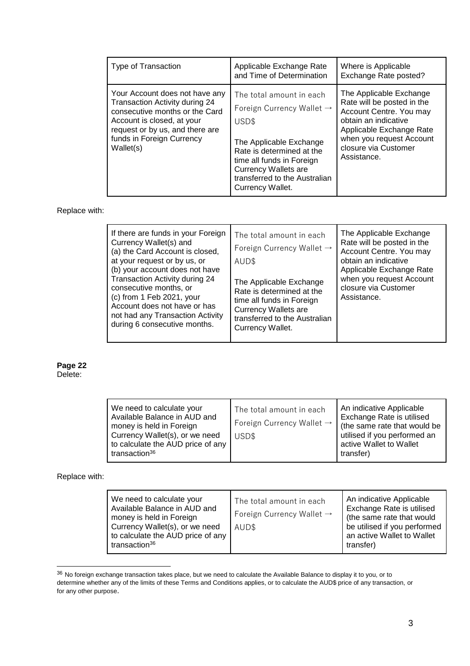| Type of Transaction                                                                                                                                                                                           | Applicable Exchange Rate<br>and Time of Determination                                                                                                                                                                                               | Where is Applicable<br>Exchange Rate posted?                                                                                                                                                            |
|---------------------------------------------------------------------------------------------------------------------------------------------------------------------------------------------------------------|-----------------------------------------------------------------------------------------------------------------------------------------------------------------------------------------------------------------------------------------------------|---------------------------------------------------------------------------------------------------------------------------------------------------------------------------------------------------------|
| Your Account does not have any<br>Transaction Activity during 24<br>consecutive months or the Card<br>Account is closed, at your<br>request or by us, and there are<br>funds in Foreign Currency<br>Wallet(s) | The total amount in each<br>Foreign Currency Wallet $\rightarrow$<br>USD\$<br>The Applicable Exchange<br>Rate is determined at the<br>time all funds in Foreign<br><b>Currency Wallets are</b><br>transferred to the Australian<br>Currency Wallet. | The Applicable Exchange<br>Rate will be posted in the<br>Account Centre. You may<br>obtain an indicative<br>Applicable Exchange Rate<br>when you request Account<br>closure via Customer<br>Assistance. |

Replace with:

| If there are funds in your Foreign<br>Currency Wallet(s) and<br>(a) the Card Account is closed,<br>at your request or by us, or<br>(b) your account does not have<br>Transaction Activity during 24<br>consecutive months, or<br>(c) from 1 Feb 2021, your<br>Account does not have or has<br>not had any Transaction Activity<br>during 6 consecutive months. | The total amount in each<br>Foreign Currency Wallet $\rightarrow$<br>AUD\$<br>The Applicable Exchange<br>Rate is determined at the<br>time all funds in Foreign<br><b>Currency Wallets are</b><br>transferred to the Australian<br>Currency Wallet. | The Applicable Exchange<br>Rate will be posted in the<br>Account Centre. You may<br>obtain an indicative<br>Applicable Exchange Rate<br>when you request Account<br>closure via Customer<br>Assistance. |
|----------------------------------------------------------------------------------------------------------------------------------------------------------------------------------------------------------------------------------------------------------------------------------------------------------------------------------------------------------------|-----------------------------------------------------------------------------------------------------------------------------------------------------------------------------------------------------------------------------------------------------|---------------------------------------------------------------------------------------------------------------------------------------------------------------------------------------------------------|
|----------------------------------------------------------------------------------------------------------------------------------------------------------------------------------------------------------------------------------------------------------------------------------------------------------------------------------------------------------------|-----------------------------------------------------------------------------------------------------------------------------------------------------------------------------------------------------------------------------------------------------|---------------------------------------------------------------------------------------------------------------------------------------------------------------------------------------------------------|

# **Page 22**

| Delete <sup>.</sup> |
|---------------------|
|---------------------|

| We need to calculate your<br>Available Balance in AUD and<br>money is held in Foreign<br>Currency Wallet(s), or we need<br>to calculate the AUD price of any<br>transaction <sup>36</sup> | The total amount in each<br>Foreign Currency Wallet $\rightarrow$<br>USD\$ | An indicative Applicable<br>Exchange Rate is utilised<br>(the same rate that would be<br>utilised if you performed an<br>active Wallet to Wallet<br>transfer) |
|-------------------------------------------------------------------------------------------------------------------------------------------------------------------------------------------|----------------------------------------------------------------------------|---------------------------------------------------------------------------------------------------------------------------------------------------------------|
|-------------------------------------------------------------------------------------------------------------------------------------------------------------------------------------------|----------------------------------------------------------------------------|---------------------------------------------------------------------------------------------------------------------------------------------------------------|

Replace with:

 $36$  No foreign exchange transaction takes place, but we need to calculate the Available Balance to display it to you, or to determine whether any of the limits of these Terms and Conditions applies, or to calculate the AUD\$ price of any transaction, or for any other purpose.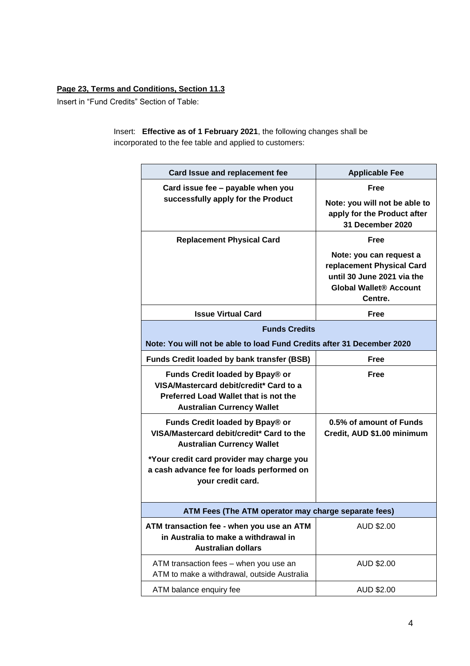### **Page 23, Terms and Conditions, Section 11.3**

Insert in "Fund Credits" Section of Table:

Insert: **Effective as of 1 February 2021**, the following changes shall be incorporated to the fee table and applied to customers:

| Card Issue and replacement fee                                                        | <b>Applicable Fee</b>                               |  |
|---------------------------------------------------------------------------------------|-----------------------------------------------------|--|
| Card issue fee - payable when you                                                     | Free                                                |  |
| successfully apply for the Product                                                    | Note: you will not be able to                       |  |
|                                                                                       | apply for the Product after<br>31 December 2020     |  |
| <b>Replacement Physical Card</b>                                                      | Free                                                |  |
|                                                                                       | Note: you can request a                             |  |
|                                                                                       | replacement Physical Card                           |  |
|                                                                                       | until 30 June 2021 via the                          |  |
|                                                                                       | <b>Global Wallet<sup>®</sup> Account</b><br>Centre. |  |
| <b>Issue Virtual Card</b>                                                             | Free                                                |  |
| <b>Funds Credits</b>                                                                  |                                                     |  |
| Note: You will not be able to load Fund Credits after 31 December 2020                |                                                     |  |
| <b>Funds Credit loaded by bank transfer (BSB)</b>                                     | Free                                                |  |
| Funds Credit loaded by Bpay® or                                                       | <b>Free</b>                                         |  |
| VISA/Mastercard debit/credit* Card to a<br>Preferred Load Wallet that is not the      |                                                     |  |
| <b>Australian Currency Wallet</b>                                                     |                                                     |  |
| Funds Credit loaded by Bpay® or                                                       | 0.5% of amount of Funds                             |  |
| VISA/Mastercard debit/credit* Card to the<br><b>Australian Currency Wallet</b>        | Credit, AUD \$1.00 minimum                          |  |
| *Your credit card provider may charge you                                             |                                                     |  |
| a cash advance fee for loads performed on                                             |                                                     |  |
| your credit card.                                                                     |                                                     |  |
| ATM Fees (The ATM operator may charge separate fees)                                  |                                                     |  |
| ATM transaction fee - when you use an ATM                                             | AUD \$2.00                                          |  |
| in Australia to make a withdrawal in                                                  |                                                     |  |
| <b>Australian dollars</b>                                                             |                                                     |  |
| ATM transaction fees - when you use an<br>ATM to make a withdrawal, outside Australia | AUD \$2.00                                          |  |
| ATM balance enquiry fee                                                               | AUD \$2.00                                          |  |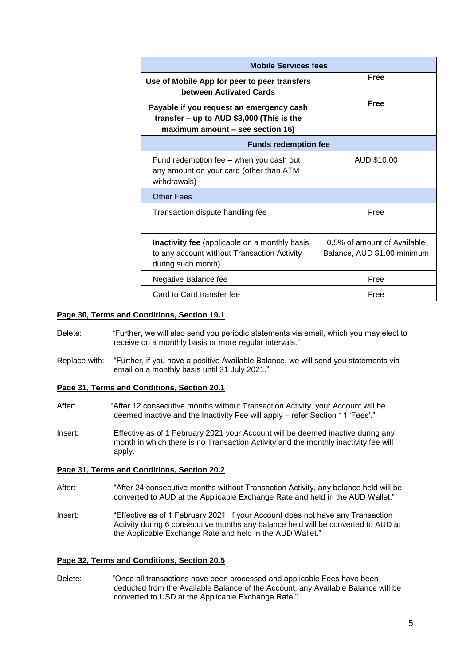| <b>Mobile Services fees</b>                                                                                                 |                                                            |  |
|-----------------------------------------------------------------------------------------------------------------------------|------------------------------------------------------------|--|
| Use of Mobile App for peer to peer transfers<br>between Activated Cards                                                     | Free                                                       |  |
| Payable if you request an emergency cash<br>transfer $-$ up to AUD \$3,000 (This is the<br>maximum amount - see section 16) | <b>Free</b>                                                |  |
| <b>Funds redemption fee</b>                                                                                                 |                                                            |  |
| Fund redemption fee - when you cash out<br>any amount on your card (other than ATM<br>withdrawals)                          | AUD \$10.00                                                |  |
| Other Fees                                                                                                                  |                                                            |  |
| Transaction dispute handling fee                                                                                            | Free                                                       |  |
| <b>Inactivity fee</b> (applicable on a monthly basis<br>to any account without Transaction Activity<br>during such month)   | 0.5% of amount of Available<br>Balance, AUD \$1.00 minimum |  |
| Negative Balance fee                                                                                                        | Free                                                       |  |
| Card to Card transfer fee                                                                                                   | Free                                                       |  |

#### **Page 30, Terms and Conditions, Section 19.1**

- Delete: "Further, we will also send you periodic statements via email, which you may elect to receive on a monthly basis or more regular intervals."
- Replace with: "Further, if you have a positive Available Balance, we will send you statements via email on a monthly basis until 31 July 2021."

#### **Page 31, Terms and Conditions, Section 20.1**

- After: "After 12 consecutive months without Transaction Activity, your Account will be deemed inactive and the Inactivity Fee will apply – refer Section 11 'Fees'."
- Insert: Effective as of 1 February 2021 your Account will be deemed inactive during any month in which there is no Transaction Activity and the monthly inactivity fee will apply.

#### **Page 31, Terms and Conditions, Section 20.2**

- After: "After 24 consecutive months without Transaction Activity, any balance held will be converted to AUD at the Applicable Exchange Rate and held in the AUD Wallet."
- Insert: "Effective as of 1 February 2021, if your Account does not have any Transaction Activity during 6 consecutive months any balance held will be converted to AUD at the Applicable Exchange Rate and held in the AUD Wallet."

#### **Page 32, Terms and Conditions, Section 20.5**

Delete: "Once all transactions have been processed and applicable Fees have been deducted from the Available Balance of the Account, any Available Balance will be converted to USD at the Applicable Exchange Rate."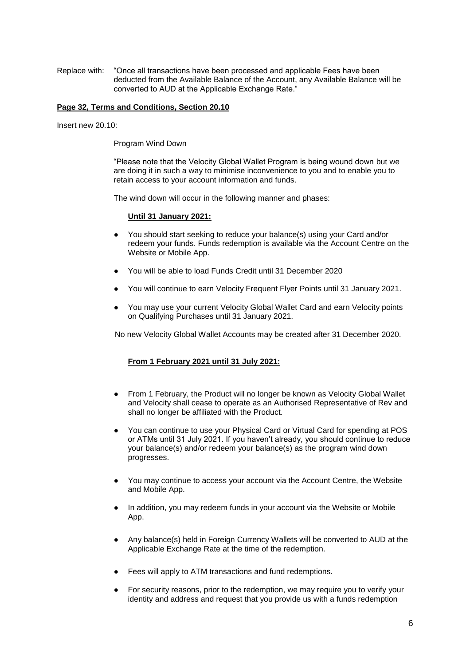Replace with: "Once all transactions have been processed and applicable Fees have been deducted from the Available Balance of the Account, any Available Balance will be converted to AUD at the Applicable Exchange Rate."

#### **Page 32, Terms and Conditions, Section 20.10**

Insert new 20.10:

Program Wind Down

"Please note that the Velocity Global Wallet Program is being wound down but we are doing it in such a way to minimise inconvenience to you and to enable you to retain access to your account information and funds.

The wind down will occur in the following manner and phases:

#### **Until 31 January 2021:**

- You should start seeking to reduce your balance(s) using your Card and/or redeem your funds. Funds redemption is available via the Account Centre on the Website or Mobile App.
- You will be able to load Funds Credit until 31 December 2020
- You will continue to earn Velocity Frequent Flyer Points until 31 January 2021.
- You may use your current Velocity Global Wallet Card and earn Velocity points on Qualifying Purchases until 31 January 2021.

No new Velocity Global Wallet Accounts may be created after 31 December 2020.

#### **From 1 February 2021 until 31 July 2021:**

- From 1 February, the Product will no longer be known as Velocity Global Wallet and Velocity shall cease to operate as an Authorised Representative of Rev and shall no longer be affiliated with the Product.
- You can continue to use your Physical Card or Virtual Card for spending at POS or ATMs until 31 July 2021. If you haven't already, you should continue to reduce your balance(s) and/or redeem your balance(s) as the program wind down progresses.
- You may continue to access your account via the Account Centre, the Website and Mobile App.
- In addition, you may redeem funds in your account via the Website or Mobile App.
- Any balance(s) held in Foreign Currency Wallets will be converted to AUD at the Applicable Exchange Rate at the time of the redemption.
- Fees will apply to ATM transactions and fund redemptions.
- For security reasons, prior to the redemption, we may require you to verify your identity and address and request that you provide us with a funds redemption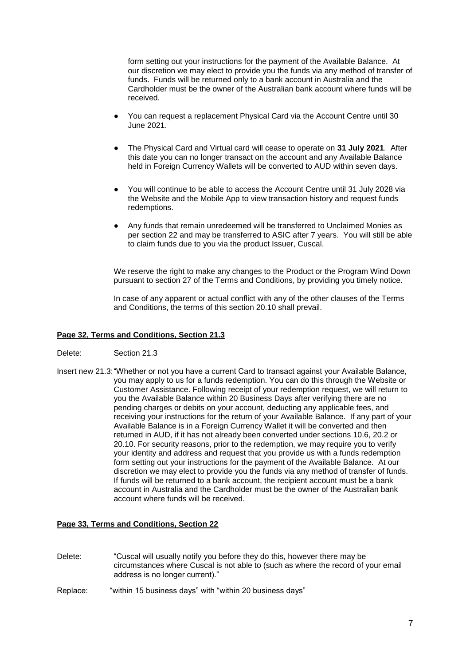form setting out your instructions for the payment of the Available Balance. At our discretion we may elect to provide you the funds via any method of transfer of funds. Funds will be returned only to a bank account in Australia and the Cardholder must be the owner of the Australian bank account where funds will be received.

- You can request a replacement Physical Card via the Account Centre until 30 June 2021.
- The Physical Card and Virtual card will cease to operate on 31 July 2021. After this date you can no longer transact on the account and any Available Balance held in Foreign Currency Wallets will be converted to AUD within seven days.
- You will continue to be able to access the Account Centre until 31 July 2028 via the Website and the Mobile App to view transaction history and request funds redemptions.
- Any funds that remain unredeemed will be transferred to Unclaimed Monies as per section 22 and may be transferred to ASIC after 7 years. You will still be able to claim funds due to you via the product Issuer, Cuscal.

We reserve the right to make any changes to the Product or the Program Wind Down pursuant to section 27 of the Terms and Conditions, by providing you timely notice.

In case of any apparent or actual conflict with any of the other clauses of the Terms and Conditions, the terms of this section 20.10 shall prevail.

#### **Page 32, Terms and Conditions, Section 21.3**

- Delete: Section 21.3
- Insert new 21.3:"Whether or not you have a current Card to transact against your Available Balance, you may apply to us for a funds redemption. You can do this through the Website or Customer Assistance. Following receipt of your redemption request, we will return to you the Available Balance within 20 Business Days after verifying there are no pending charges or debits on your account, deducting any applicable fees, and receiving your instructions for the return of your Available Balance. If any part of your Available Balance is in a Foreign Currency Wallet it will be converted and then returned in AUD, if it has not already been converted under sections 10.6, 20.2 or 20.10. For security reasons, prior to the redemption, we may require you to verify your identity and address and request that you provide us with a funds redemption form setting out your instructions for the payment of the Available Balance. At our discretion we may elect to provide you the funds via any method of transfer of funds. If funds will be returned to a bank account, the recipient account must be a bank account in Australia and the Cardholder must be the owner of the Australian bank account where funds will be received.

#### **Page 33, Terms and Conditions, Section 22**

- Delete: "Cuscal will usually notify you before they do this, however there may be circumstances where Cuscal is not able to (such as where the record of your email address is no longer current)."
- Replace: "within 15 business days" with "within 20 business days"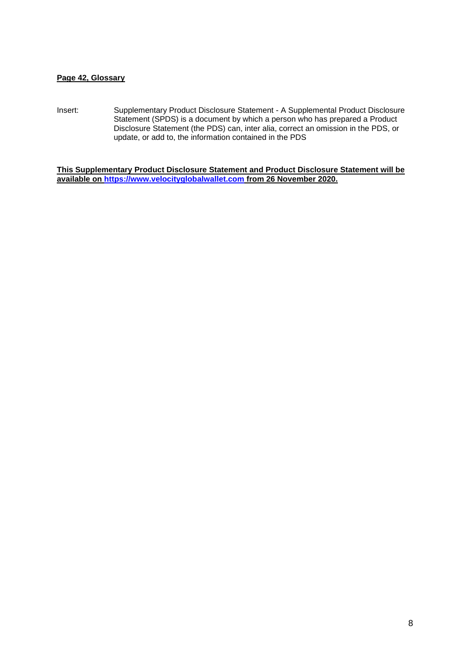#### **Page 42, Glossary**

Insert: Supplementary Product Disclosure Statement - A Supplemental Product Disclosure Statement (SPDS) is a document by which a person who has prepared a Product Disclosure Statement (the PDS) can, inter alia, correct an omission in the PDS, or update, or add to, the information contained in the PDS

<span id="page-7-0"></span>**This Supplementary Product Disclosure Statement and Product Disclosure Statement will be available on [https://www.velocityglobalwallet.com](https://www.velocityglobalwallet.com/) from 26 November 2020.**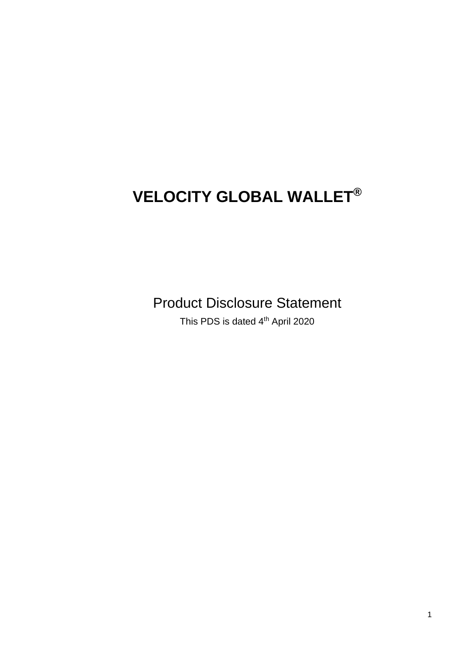# **VELOCITY GLOBAL WALLET®**

Product Disclosure Statement

This PDS is dated 4<sup>th</sup> April 2020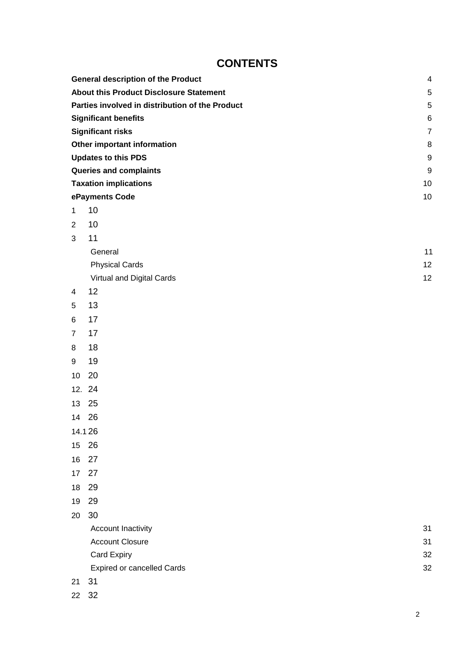# **CONTENTS**

|                | <b>General description of the Product</b>       | $\overline{4}$ |
|----------------|-------------------------------------------------|----------------|
|                | <b>About this Product Disclosure Statement</b>  | 5              |
|                | Parties involved in distribution of the Product | 5              |
|                | <b>Significant benefits</b>                     | 6              |
|                | <b>Significant risks</b>                        | $\overline{7}$ |
|                | Other important information                     | 8              |
|                | <b>Updates to this PDS</b>                      | 9              |
|                | Queries and complaints                          | 9              |
|                | <b>Taxation implications</b>                    | 10             |
|                | ePayments Code                                  | 10             |
| $\mathbf{1}$   | 10                                              |                |
| $\overline{2}$ | 10                                              |                |
| $\mathbf{3}$   | 11                                              |                |
|                | General                                         | 11             |
|                | <b>Physical Cards</b>                           | 12             |
|                | Virtual and Digital Cards                       | 12             |
| $\overline{4}$ | 12                                              |                |
| 5              | 13                                              |                |
| 6              | 17                                              |                |
| $\overline{7}$ | 17                                              |                |
| 8              | 18                                              |                |
| 9              | 19                                              |                |
| 10             | 20                                              |                |
|                | 12. 24                                          |                |
| 13             | 25                                              |                |
|                | 14 26                                           |                |
|                | 14.126                                          |                |
| 15             | 26                                              |                |
| 16             | 27                                              |                |
| 17             | 27                                              |                |
| 18             | 29                                              |                |
| 19             | 29                                              |                |
| 20             | 30                                              |                |
|                | Account Inactivity                              | 31             |
|                | <b>Account Closure</b>                          | 31             |
|                | Card Expiry                                     | 32             |
|                | <b>Expired or cancelled Cards</b>               | 32             |
| 21             | 31                                              |                |
|                | 22 32                                           |                |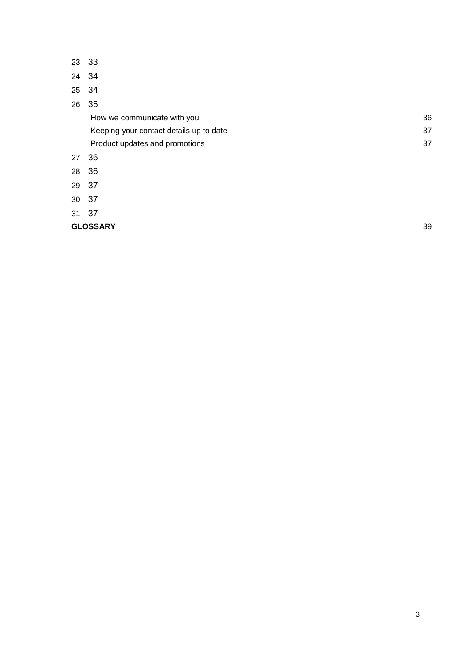- [3](#page-40-0)3
- [3](#page-41-0)4
- [3](#page-41-1)4
- [3](#page-42-0)5

[How we communicate with you](#page-42-1) **36** and 30 and 30 and 30 and 30 and 30 and 30 and 30 and 30 and 30 and 30 and 30 and 30 and 30 and 30 and 30 and 30 and 30 and 30 and 30 and 30 and 30 and 30 and 30 and 30 and 30 and 30 and 30 [Keeping your contact details up to date](#page-42-2) 37 [Product updates and promotions](#page-43-0) 37

- [3](#page-43-1)6
- [3](#page-43-2)6
- [3](#page-44-0)7
- [3](#page-44-1)7
- [3](#page-44-2)7

**[GLOSSARY](#page-44-3)** [39](#page-44-3)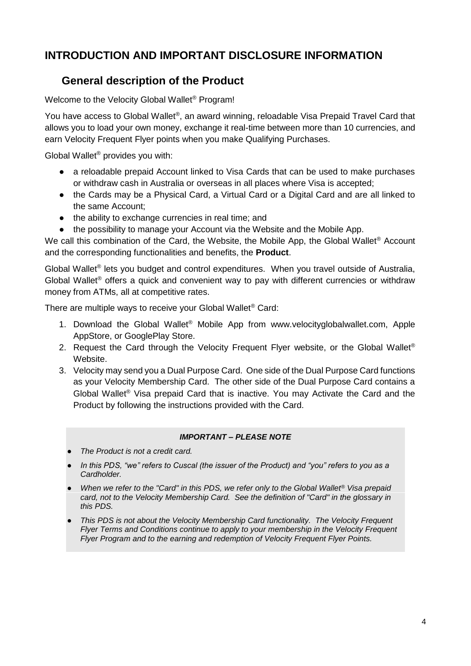# **INTRODUCTION AND IMPORTANT DISCLOSURE INFORMATION**

# **General description of the Product**

Welcome to the Velocity Global Wallet® Program!

You have access to Global Wallet®, an award winning, reloadable Visa Prepaid Travel Card that allows you to load your own money, exchange it real-time between more than 10 currencies, and earn Velocity Frequent Flyer points when you make Qualifying Purchases.

Global Wallet® provides you with:

- a reloadable prepaid Account linked to Visa Cards that can be used to make purchases or withdraw cash in Australia or overseas in all places where Visa is accepted;
- the Cards may be a Physical Card, a Virtual Card or a Digital Card and are all linked to the same Account;
- the ability to exchange currencies in real time; and
- the possibility to manage your Account via the Website and the Mobile App.

We call this combination of the Card, the Website, the Mobile App, the Global Wallet<sup>®</sup> Account and the corresponding functionalities and benefits, the **Product**.

Global Wallet<sup>®</sup> lets you budget and control expenditures. When you travel outside of Australia, Global Wallet® offers a quick and convenient way to pay with different currencies or withdraw money from ATMs, all at competitive rates.

There are multiple ways to receive your Global Wallet® Card:

- 1. Download the Global Wallet® Mobile App from [www.velocityglobalwallet.com,](http://www.velocityglobalwallet.com/) Apple AppStore, or GooglePlay Store.
- 2. Request the Card through the Velocity Frequent Flyer website, or the Global Wallet<sup>®</sup> Website.
- 3. Velocity may send you a Dual Purpose Card. One side of the Dual Purpose Card functions as your Velocity Membership Card. The other side of the Dual Purpose Card contains a Global Wallet® Visa prepaid Card that is inactive. You may Activate the Card and the Product by following the instructions provided with the Card.

#### *IMPORTANT – PLEASE NOTE*

- *The Product is not a credit card.*
- In this PDS, "we" refers to Cuscal (the issuer of the Product) and "you" refers to you as a *Cardholder.*
- *When we refer to the "Card" in this PDS, we refer only to the Global Wallet® Visa prepaid card, not to the Velocity Membership Card. See the definition of "Card" in the glossary in this PDS.*
- *This PDS is not about the Velocity Membership Card functionality. The Velocity Frequent Flyer Terms and Conditions continue to apply to your membership in the Velocity Frequent Flyer Program and to the earning and redemption of Velocity Frequent Flyer Points.*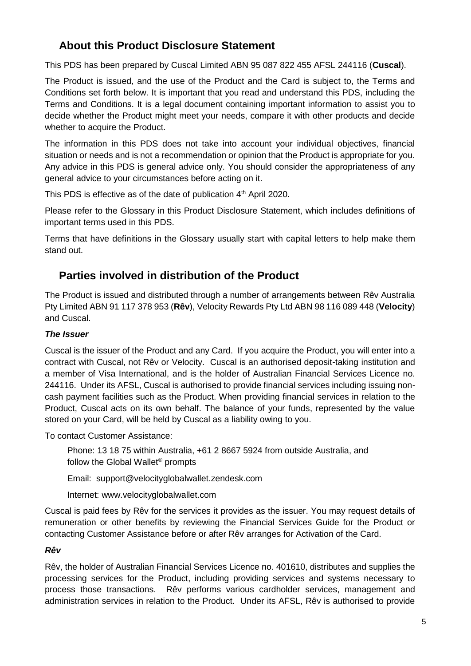# <span id="page-12-0"></span>**About this Product Disclosure Statement**

This PDS has been prepared by Cuscal Limited ABN 95 087 822 455 AFSL 244116 (**Cuscal**).

The Product is issued, and the use of the Product and the Card is subject to, the Terms and Conditions set forth below. It is important that you read and understand this PDS, including the Terms and Conditions. It is a legal document containing important information to assist you to decide whether the Product might meet your needs, compare it with other products and decide whether to acquire the Product.

The information in this PDS does not take into account your individual objectives, financial situation or needs and is not a recommendation or opinion that the Product is appropriate for you. Any advice in this PDS is general advice only. You should consider the appropriateness of any general advice to your circumstances before acting on it.

This PDS is effective as of the date of publication  $4<sup>th</sup>$  April 2020.

Please refer to the Glossary in this Product Disclosure Statement, which includes definitions of important terms used in this PDS.

Terms that have definitions in the Glossary usually start with capital letters to help make them stand out.

# <span id="page-12-1"></span>**Parties involved in distribution of the Product**

The Product is issued and distributed through a number of arrangements between Rêv Australia Pty Limited ABN 91 117 378 953 (**Rêv**), Velocity Rewards Pty Ltd ABN 98 116 089 448 (**Velocity**) and Cuscal.

### *The Issuer*

Cuscal is the issuer of the Product and any Card. If you acquire the Product, you will enter into a contract with Cuscal, not Rêv or Velocity. Cuscal is an authorised deposit-taking institution and a member of Visa International, and is the holder of Australian Financial Services Licence no. 244116. Under its AFSL, Cuscal is authorised to provide financial services including issuing noncash payment facilities such as the Product. When providing financial services in relation to the Product, Cuscal acts on its own behalf. The balance of your funds, represented by the value stored on your Card, will be held by Cuscal as a liability owing to you.

To contact Customer Assistance:

Phone: 13 18 75 within Australia, +61 2 8667 5924 from outside Australia, and follow the Global Wallet® prompts

Email: [support@velocityglobalwallet.zendesk.com](mailto:support@velocityglobalwallet.zendesk.com)

Internet: [www.velocityglobalwallet.com](http://www.velocityglobalwallet.com/)

Cuscal is paid fees by Rêv for the services it provides as the issuer. You may request details of remuneration or other benefits by reviewing the Financial Services Guide for the Product or contacting Customer Assistance before or after Rêv arranges for Activation of the Card.

### *Rêv*

Rêv, the holder of Australian Financial Services Licence no. 401610, distributes and supplies the processing services for the Product, including providing services and systems necessary to process those transactions. Rêv performs various cardholder services, management and administration services in relation to the Product. Under its AFSL, Rêv is authorised to provide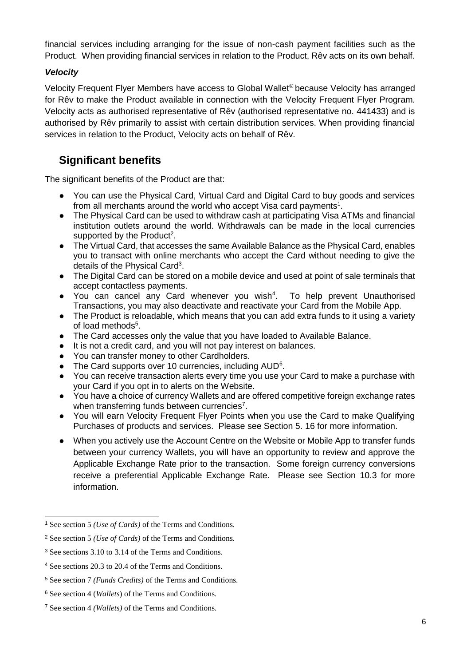financial services including arranging for the issue of non-cash payment facilities such as the Product. When providing financial services in relation to the Product, Rêv acts on its own behalf.

### *Velocity*

Velocity Frequent Flyer Members have access to Global Wallet® because Velocity has arranged for Rêv to make the Product available in connection with the Velocity Frequent Flyer Program. Velocity acts as authorised representative of Rêv (authorised representative no. 441433) and is authorised by Rêv primarily to assist with certain distribution services. When providing financial services in relation to the Product, Velocity acts on behalf of Rêv.

# <span id="page-13-0"></span>**Significant benefits**

The significant benefits of the Product are that:

- You can use the Physical Card, Virtual Card and Digital Card to buy goods and services from all merchants around the world who accept Visa card payments<sup>1</sup>.
- The Physical Card can be used to withdraw cash at participating Visa ATMs and financial institution outlets around the world. Withdrawals can be made in the local currencies supported by the Product<sup>2</sup>.
- The Virtual Card, that accesses the same Available Balance as the Physical Card, enables you to transact with online merchants who accept the Card without needing to give the details of the Physical Card<sup>3</sup>.
- The Digital Card can be stored on a mobile device and used at point of sale terminals that accept contactless payments.
- You can cancel any Card whenever you wish<sup>4</sup>. To help prevent Unauthorised Transactions, you may also deactivate and reactivate your Card from the Mobile App.
- The Product is reloadable, which means that you can add extra funds to it using a variety of load methods<sup>5</sup>.
- The Card accesses only the value that you have loaded to Available Balance.
- It is not a credit card, and you will not pay interest on balances.
- You can transfer money to other Cardholders.
- The Card supports over 10 currencies, including AUD<sup>6</sup>.
- You can receive transaction alerts every time you use your Card to make a purchase with your Card if you opt in to alerts on the Website.
- You have a choice of currency Wallets and are offered competitive foreign exchange rates when transferring funds between currencies<sup>7</sup>.
- You will earn Velocity Frequent Flyer Points when you use the Card to make Qualifying Purchases of products and services. Please see Section 5. 16 for more information.
- When you actively use the Account Centre on the Website or Mobile App to transfer funds between your currency Wallets, you will have an opportunity to review and approve the Applicable Exchange Rate prior to the transaction. Some foreign currency conversions receive a preferential Applicable Exchange Rate. Please see Section 10.3 for more information.

<sup>1</sup> See section 5 *(Use of Cards)* of the Terms and Conditions.

<sup>2</sup> See section 5 *(Use of Cards)* of the Terms and Conditions.

<sup>3</sup> See sections 3.10 to 3.14 of the Terms and Conditions.

<sup>4</sup> See sections 20.3 to 20.4 of the Terms and Conditions.

<sup>5</sup> See section 7 *(Funds Credits)* of the Terms and Conditions.

<sup>6</sup> See section 4 (*Wallets*) of the Terms and Conditions.

<sup>7</sup> See section 4 *(Wallets)* of the Terms and Conditions.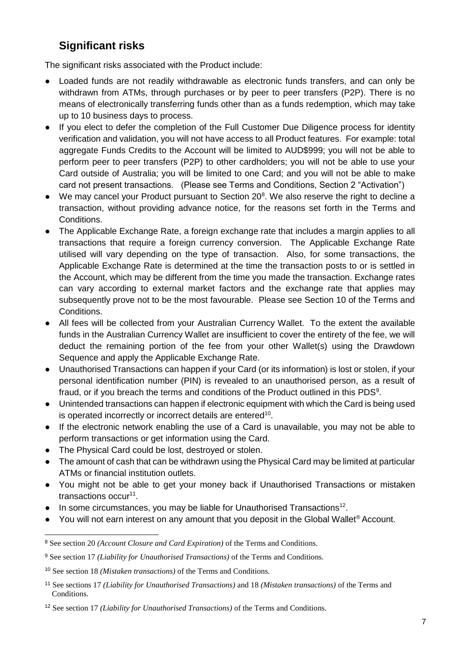# <span id="page-14-0"></span>**Significant risks**

The significant risks associated with the Product include:

- Loaded funds are not readily withdrawable as electronic funds transfers, and can only be withdrawn from ATMs, through purchases or by peer to peer transfers (P2P). There is no means of electronically transferring funds other than as a funds redemption, which may take up to 10 business days to process.
- If you elect to defer the completion of the Full Customer Due Diligence process for identity verification and validation, you will not have access to all Product features. For example: total aggregate Funds Credits to the Account will be limited to AUD\$999; you will not be able to perform peer to peer transfers (P2P) to other cardholders; you will not be able to use your Card outside of Australia; you will be limited to one Card; and you will not be able to make card not present transactions. (Please see Terms and Conditions, Section 2 "Activation")
- We may cancel your Product pursuant to Section 20<sup>8</sup>. We also reserve the right to decline a transaction, without providing advance notice, for the reasons set forth in the Terms and Conditions.
- The Applicable Exchange Rate, a foreign exchange rate that includes a margin applies to all transactions that require a foreign currency conversion. The Applicable Exchange Rate utilised will vary depending on the type of transaction. Also, for some transactions, the Applicable Exchange Rate is determined at the time the transaction posts to or is settled in the Account, which may be different from the time you made the transaction. Exchange rates can vary according to external market factors and the exchange rate that applies may subsequently prove not to be the most favourable. Please see Section 10 of the Terms and Conditions.
- All fees will be collected from your Australian Currency Wallet. To the extent the available funds in the Australian Currency Wallet are insufficient to cover the entirety of the fee, we will deduct the remaining portion of the fee from your other Wallet(s) using the Drawdown Sequence and apply the Applicable Exchange Rate.
- Unauthorised Transactions can happen if your Card (or its information) is lost or stolen, if your personal identification number (PIN) is revealed to an unauthorised person, as a result of fraud, or if you breach the terms and conditions of the Product outlined in this PDS<sup>9</sup>.
- Unintended transactions can happen if electronic equipment with which the Card is being used is operated incorrectly or incorrect details are entered<sup>10</sup>.
- If the electronic network enabling the use of a Card is unavailable, you may not be able to perform transactions or get information using the Card.
- The Physical Card could be lost, destroyed or stolen.
- The amount of cash that can be withdrawn using the Physical Card may be limited at particular ATMs or financial institution outlets.
- You might not be able to get your money back if Unauthorised Transactions or mistaken transactions occur<sup>11</sup>.
- In some circumstances, you may be liable for Unauthorised Transactions<sup>12</sup>.
- You will not earn interest on any amount that you deposit in the Global Wallet<sup>®</sup> Account.

<sup>8</sup> See section 20 *(Account Closure and Card Expiration)* of the Terms and Conditions.

<sup>9</sup> See section 17 *(Liability for Unauthorised Transactions)* of the Terms and Conditions.

<sup>10</sup> See section 18 *(Mistaken transactions)* of the Terms and Conditions.

<sup>11</sup> See sections 17 *(Liability for Unauthorised Transactions)* and 18 *(Mistaken transactions)* of the Terms and Conditions.

<sup>12</sup> See section 17 *(Liability for Unauthorised Transactions)* of the Terms and Conditions.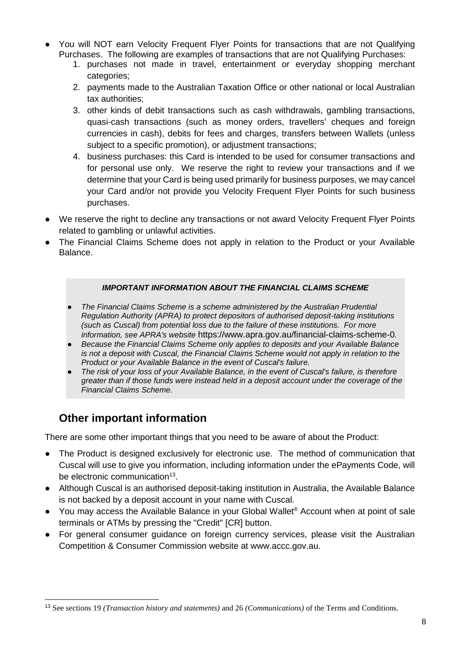- You will NOT earn Velocity Frequent Flyer Points for transactions that are not Qualifying Purchases. The following are examples of transactions that are not Qualifying Purchases:
	- 1. purchases not made in travel, entertainment or everyday shopping merchant categories;
	- 2. payments made to the Australian Taxation Office or other national or local Australian tax authorities;
	- 3. other kinds of debit transactions such as cash withdrawals, gambling transactions, quasi-cash transactions (such as money orders, travellers' cheques and foreign currencies in cash), debits for fees and charges, transfers between Wallets (unless subject to a specific promotion), or adjustment transactions:
	- 4. business purchases: this Card is intended to be used for consumer transactions and for personal use only. We reserve the right to review your transactions and if we determine that your Card is being used primarily for business purposes, we may cancel your Card and/or not provide you Velocity Frequent Flyer Points for such business purchases.
- We reserve the right to decline any transactions or not award Velocity Frequent Flyer Points related to gambling or unlawful activities.
- The Financial Claims Scheme does not apply in relation to the Product or your Available Balance.

### *IMPORTANT INFORMATION ABOUT THE FINANCIAL CLAIMS SCHEME*

- *The Financial Claims Scheme is a scheme administered by the Australian Prudential Regulation Authority (APRA) to protect depositors of authorised deposit-taking institutions (such as Cuscal) from potential loss due to the failure of these institutions. For more information, see APRA's website* https://www.apra.gov.au/financial-claims-scheme-0*.*
- **Because the Financial Claims Scheme only applies to deposits and your Available Balance** *is not a deposit with Cuscal, the Financial Claims Scheme would not apply in relation to the Product or your Available Balance in the event of Cuscal's failure.*
- *The risk of your loss of your Available Balance, in the event of Cuscal's failure, is therefore greater than if those funds were instead held in a deposit account under the coverage of the Financial Claims Scheme.*

# <span id="page-15-0"></span>**Other important information**

l

There are some other important things that you need to be aware of about the Product:

- The Product is designed exclusively for electronic use. The method of communication that Cuscal will use to give you information, including information under the ePayments Code, will be electronic communication<sup>13</sup>.
- Although Cuscal is an authorised deposit-taking institution in Australia, the Available Balance is not backed by a deposit account in your name with Cuscal.
- You may access the Available Balance in your Global Wallet<sup>®</sup> Account when at point of sale terminals or ATMs by pressing the "Credit" [CR] button.
- For general consumer guidance on foreign currency services, please visit the Australian Competition & Consumer Commission website at www.accc.gov.au.

<sup>13</sup> See sections 19 *(Transaction history and statements)* and 26 *(Communications)* of the Terms and Conditions.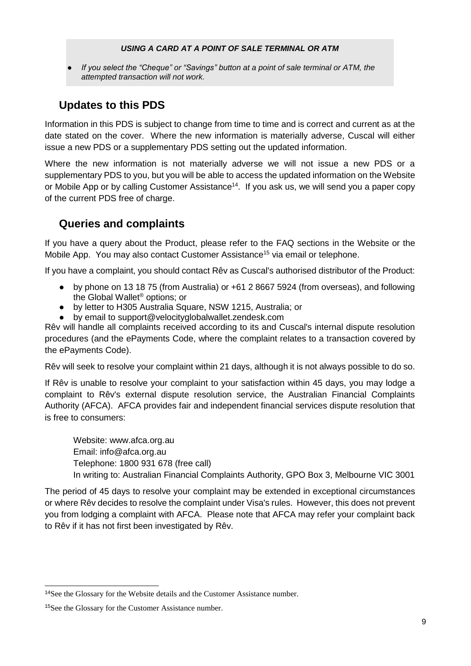#### *USING A CARD AT A POINT OF SALE TERMINAL OR ATM*

*If you select the "Cheque" or "Savings" button at a point of sale terminal or ATM, the attempted transaction will not work.*

# <span id="page-16-0"></span>**Updates to this PDS**

Information in this PDS is subject to change from time to time and is correct and current as at the date stated on the cover. Where the new information is materially adverse, Cuscal will either issue a new PDS or a supplementary PDS setting out the updated information.

Where the new information is not materially adverse we will not issue a new PDS or a supplementary PDS to you, but you will be able to access the updated information on the Website or Mobile App or by calling Customer Assistance<sup>14</sup>. If you ask us, we will send you a paper copy of the current PDS free of charge.

# <span id="page-16-1"></span>**Queries and complaints**

If you have a query about the Product, please refer to the FAQ sections in the Website or the Mobile App. You may also contact Customer Assistance<sup>15</sup> via email or telephone.

If you have a complaint, you should contact Rêv as Cuscal's authorised distributor of the Product:

- by phone on 13 18 75 (from Australia) or +61 2 8667 5924 (from overseas), and following the Global Wallet® options; or
- by letter to H305 Australia Square, NSW 1215, Australia; or
- by email to [support@velocityglobalwallet.zendesk.com](mailto:support@velocityglobalwallet.zendesk.com)

Rêv will handle all complaints received according to its and Cuscal's internal dispute resolution procedures (and the ePayments Code, where the complaint relates to a transaction covered by the ePayments Code).

Rêv will seek to resolve your complaint within 21 days, although it is not always possible to do so.

If Rêv is unable to resolve your complaint to your satisfaction within 45 days, you may lodge a complaint to Rêv's external dispute resolution service, the Australian Financial Complaints Authority (AFCA). AFCA provides fair and independent financial services dispute resolution that is free to consumers:

Website: [www.afca.org.au](https://www.afca.org.au/) Email: [info@afca.org.au](mailto:info@afca.org.au) Telephone: 1800 931 678 (free call) In writing to: Australian Financial Complaints Authority, GPO Box 3, Melbourne VIC 3001

The period of 45 days to resolve your complaint may be extended in exceptional circumstances or where Rêv decides to resolve the complaint under Visa's rules. However, this does not prevent you from lodging a complaint with AFCA. Please note that AFCA may refer your complaint back to Rêv if it has not first been investigated by Rêv.

<sup>14</sup>See the Glossary for the Website details and the Customer Assistance number.

<sup>15</sup>See the Glossary for the Customer Assistance number.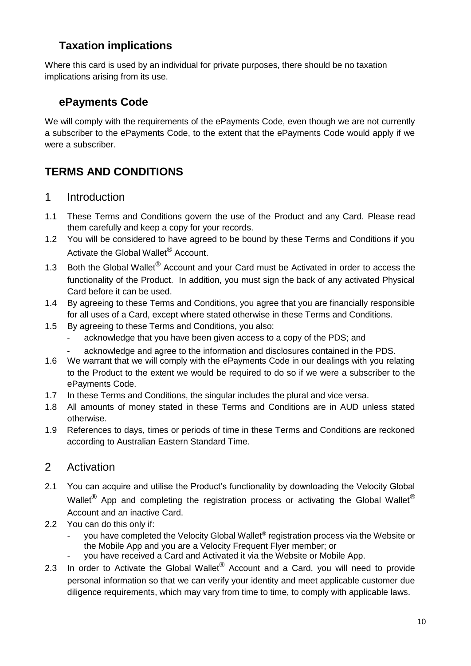# <span id="page-17-0"></span>**Taxation implications**

Where this card is used by an individual for private purposes, there should be no taxation implications arising from its use.

# <span id="page-17-1"></span>**ePayments Code**

We will comply with the requirements of the ePayments Code, even though we are not currently a subscriber to the ePayments Code, to the extent that the ePayments Code would apply if we were a subscriber.

# **TERMS AND CONDITIONS**

- <span id="page-17-2"></span>1 Introduction
- 1.1 These Terms and Conditions govern the use of the Product and any Card. Please read them carefully and keep a copy for your records.
- 1.2 You will be considered to have agreed to be bound by these Terms and Conditions if you Activate the Global Wallet<sup>®</sup> Account.
- 1.3 Both the Global Wallet<sup>®</sup> Account and your Card must be Activated in order to access the functionality of the Product. In addition, you must sign the back of any activated Physical Card before it can be used.
- 1.4 By agreeing to these Terms and Conditions, you agree that you are financially responsible for all uses of a Card, except where stated otherwise in these Terms and Conditions.
- 1.5 By agreeing to these Terms and Conditions, you also:
	- acknowledge that you have been given access to a copy of the PDS; and
	- acknowledge and agree to the information and disclosures contained in the PDS.
- 1.6 We warrant that we will comply with the ePayments Code in our dealings with you relating to the Product to the extent we would be required to do so if we were a subscriber to the ePayments Code.
- 1.7 In these Terms and Conditions, the singular includes the plural and vice versa.
- 1.8 All amounts of money stated in these Terms and Conditions are in AUD unless stated otherwise.
- 1.9 References to days, times or periods of time in these Terms and Conditions are reckoned according to Australian Eastern Standard Time.

# <span id="page-17-3"></span>2 Activation

- 2.1 You can acquire and utilise the Product's functionality by downloading the Velocity Global Wallet<sup>®</sup> App and completing the registration process or activating the Global Wallet<sup>®</sup> Account and an inactive Card.
- 2.2 You can do this only if:
	- you have completed the Velocity Global Wallet® registration process via the Website or the Mobile App and you are a Velocity Frequent Flyer member; or
		- you have received a Card and Activated it via the Website or Mobile App.
- 2.3 In order to Activate the Global Wallet<sup>®</sup> Account and a Card, you will need to provide personal information so that we can verify your identity and meet applicable customer due diligence requirements, which may vary from time to time, to comply with applicable laws.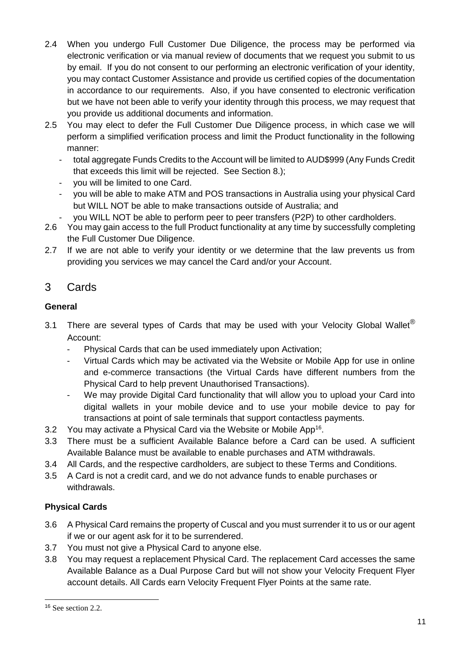- 2.4 When you undergo Full Customer Due Diligence, the process may be performed via electronic verification or via manual review of documents that we request you submit to us by email. If you do not consent to our performing an electronic verification of your identity, you may contact Customer Assistance and provide us certified copies of the documentation in accordance to our requirements. Also, if you have consented to electronic verification but we have not been able to verify your identity through this process, we may request that you provide us additional documents and information.
- 2.5 You may elect to defer the Full Customer Due Diligence process, in which case we will perform a simplified verification process and limit the Product functionality in the following manner:
	- total aggregate Funds Credits to the Account will be limited to AUD\$999 (Any Funds Credit that exceeds this limit will be rejected. See Section 8.);
	- you will be limited to one Card.
	- you will be able to make ATM and POS transactions in Australia using your physical Card but WILL NOT be able to make transactions outside of Australia; and
	- you WILL NOT be able to perform peer to peer transfers (P2P) to other cardholders.
- 2.6 You may gain access to the full Product functionality at any time by successfully completing the Full Customer Due Diligence.
- 2.7 If we are not able to verify your identity or we determine that the law prevents us from providing you services we may cancel the Card and/or your Account.

# <span id="page-18-0"></span>3 Cards

### <span id="page-18-1"></span>**General**

- 3.1 There are several types of Cards that may be used with your Velocity Global Wallet<sup>®</sup> Account:
	- Physical Cards that can be used immediately upon Activation;
	- Virtual Cards which may be activated via the Website or Mobile App for use in online and e-commerce transactions (the Virtual Cards have different numbers from the Physical Card to help prevent Unauthorised Transactions).
	- We may provide Digital Card functionality that will allow you to upload your Card into digital wallets in your mobile device and to use your mobile device to pay for transactions at point of sale terminals that support contactless payments.
- 3.2 You may activate a Physical Card via the Website or Mobile App<sup>16</sup>.
- 3.3 There must be a sufficient Available Balance before a Card can be used. A sufficient Available Balance must be available to enable purchases and ATM withdrawals.
- 3.4 All Cards, and the respective cardholders, are subject to these Terms and Conditions.
- 3.5 A Card is not a credit card, and we do not advance funds to enable purchases or withdrawals.

### <span id="page-18-2"></span>**Physical Cards**

- 3.6 A Physical Card remains the property of Cuscal and you must surrender it to us or our agent if we or our agent ask for it to be surrendered.
- 3.7 You must not give a Physical Card to anyone else.
- 3.8 You may request a replacement Physical Card. The replacement Card accesses the same Available Balance as a Dual Purpose Card but will not show your Velocity Frequent Flyer account details. All Cards earn Velocity Frequent Flyer Points at the same rate.

<sup>16</sup> See section 2.2.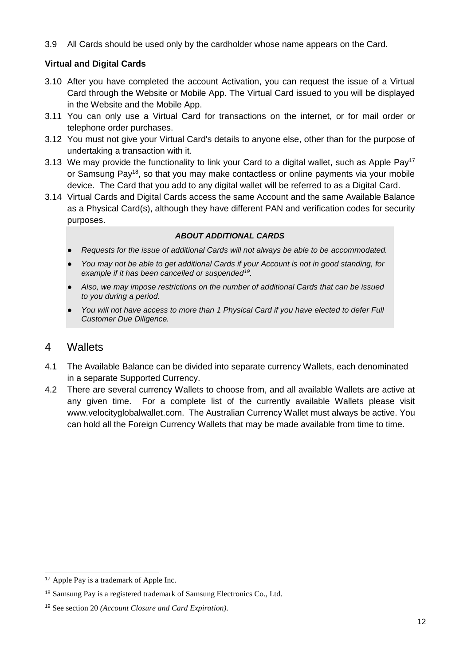3.9 All Cards should be used only by the cardholder whose name appears on the Card.

### <span id="page-19-0"></span>**Virtual and Digital Cards**

- 3.10 After you have completed the account Activation, you can request the issue of a Virtual Card through the Website or Mobile App. The Virtual Card issued to you will be displayed in the Website and the Mobile App.
- 3.11 You can only use a Virtual Card for transactions on the internet, or for mail order or telephone order purchases.
- 3.12 You must not give your Virtual Card's details to anyone else, other than for the purpose of undertaking a transaction with it.
- 3.13 We may provide the functionality to link your Card to a digital wallet, such as Apple Pay<sup>17</sup> or Samsung Pay<sup>18</sup>, so that you may make contactless or online payments via your mobile device. The Card that you add to any digital wallet will be referred to as a Digital Card.
- 3.14 Virtual Cards and Digital Cards access the same Account and the same Available Balance as a Physical Card(s), although they have different PAN and verification codes for security purposes.

#### *ABOUT ADDITIONAL CARDS*

- *Requests for the issue of additional Cards will not always be able to be accommodated.*
- You may not be able to get additional Cards if your Account is not in good standing, for *example if it has been cancelled or suspended<sup>19</sup> .*
- *Also, we may impose restrictions on the number of additional Cards that can be issued to you during a period.*
- You will not have access to more than 1 Physical Card if you have elected to defer Full *Customer Due Diligence.*

### <span id="page-19-1"></span>4 Wallets

- 4.1 The Available Balance can be divided into separate currency Wallets, each denominated in a separate Supported Currency.
- 4.2 There are several currency Wallets to choose from, and all available Wallets are active at any given time. For a complete list of the currently available Wallets please visit [www.velocityglobalwallet.com.](http://www.velocityglobalwallet.com/) The Australian Currency Wallet must always be active. You can hold all the Foreign Currency Wallets that may be made available from time to time.

<sup>17</sup> Apple Pay is a trademark of Apple Inc.

<sup>18</sup> Samsung Pay is a registered trademark of Samsung Electronics Co., Ltd.

<sup>19</sup> See section 20 *(Account Closure and Card Expiration)*.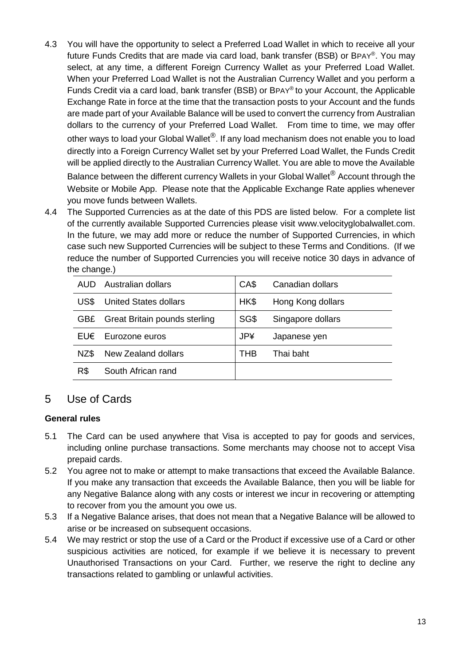- 4.3 You will have the opportunity to select a Preferred Load Wallet in which to receive all your future Funds Credits that are made via card load, bank transfer (BSB) or BPAY®. You may select, at any time, a different Foreign Currency Wallet as your Preferred Load Wallet. When your Preferred Load Wallet is not the Australian Currency Wallet and you perform a Funds Credit via a card load, bank transfer (BSB) or BPAY® to your Account, the Applicable Exchange Rate in force at the time that the transaction posts to your Account and the funds are made part of your Available Balance will be used to convert the currency from Australian dollars to the currency of your Preferred Load Wallet. From time to time, we may offer other ways to load your Global Wallet®. If any load mechanism does not enable you to load directly into a Foreign Currency Wallet set by your Preferred Load Wallet, the Funds Credit will be applied directly to the Australian Currency Wallet. You are able to move the Available Balance between the different currency Wallets in your Global Wallet<sup>®</sup> Account through the Website or Mobile App. Please note that the Applicable Exchange Rate applies whenever you move funds between Wallets.
- 4.4 The Supported Currencies as at the date of this PDS are listed below. For a complete list of the currently available Supported Currencies please visit [www.velocityglobalwallet.com.](http://www.velocityglobalwallet.com/) In the future, we may add more or reduce the number of Supported Currencies, in which case such new Supported Currencies will be subject to these Terms and Conditions. (If we reduce the number of Supported Currencies you will receive notice 30 days in advance of the change.)

| AUD. | Australian dollars            | CA\$       | Canadian dollars  |
|------|-------------------------------|------------|-------------------|
| US\$ | <b>United States dollars</b>  | HK\$       | Hong Kong dollars |
| GB£. | Great Britain pounds sterling | SG\$       | Singapore dollars |
| EU€  | Eurozone euros                | <b>JP¥</b> | Japanese yen      |
| NZ\$ | New Zealand dollars           | THB        | Thai baht         |
| R\$  | South African rand            |            |                   |

### <span id="page-20-0"></span>5 Use of Cards

### **General rules**

- 5.1 The Card can be used anywhere that Visa is accepted to pay for goods and services, including online purchase transactions. Some merchants may choose not to accept Visa prepaid cards.
- 5.2 You agree not to make or attempt to make transactions that exceed the Available Balance. If you make any transaction that exceeds the Available Balance, then you will be liable for any Negative Balance along with any costs or interest we incur in recovering or attempting to recover from you the amount you owe us.
- 5.3 If a Negative Balance arises, that does not mean that a Negative Balance will be allowed to arise or be increased on subsequent occasions.
- 5.4 We may restrict or stop the use of a Card or the Product if excessive use of a Card or other suspicious activities are noticed, for example if we believe it is necessary to prevent Unauthorised Transactions on your Card. Further, we reserve the right to decline any transactions related to gambling or unlawful activities.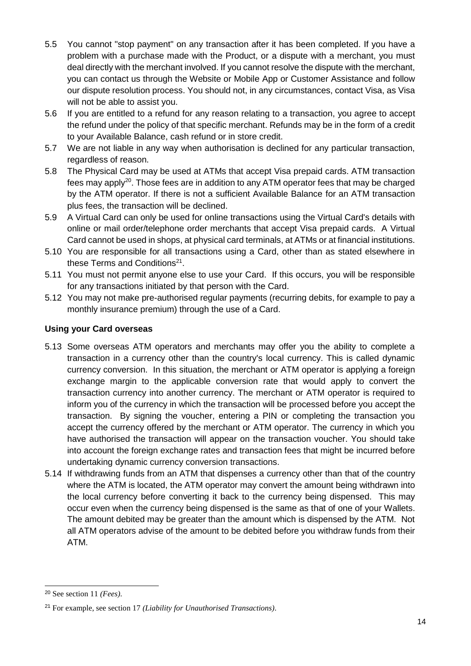- 5.5 You cannot "stop payment" on any transaction after it has been completed. If you have a problem with a purchase made with the Product, or a dispute with a merchant, you must deal directly with the merchant involved. If you cannot resolve the dispute with the merchant, you can contact us through the Website or Mobile App or Customer Assistance and follow our dispute resolution process. You should not, in any circumstances, contact Visa, as Visa will not be able to assist you.
- 5.6 If you are entitled to a refund for any reason relating to a transaction, you agree to accept the refund under the policy of that specific merchant. Refunds may be in the form of a credit to your Available Balance, cash refund or in store credit.
- 5.7 We are not liable in any way when authorisation is declined for any particular transaction, regardless of reason.
- 5.8 The Physical Card may be used at ATMs that accept Visa prepaid cards. ATM transaction fees mav apply<sup>20</sup>. Those fees are in addition to any ATM operator fees that may be charged by the ATM operator. If there is not a sufficient Available Balance for an ATM transaction plus fees, the transaction will be declined.
- 5.9 A Virtual Card can only be used for online transactions using the Virtual Card's details with online or mail order/telephone order merchants that accept Visa prepaid cards. A Virtual Card cannot be used in shops, at physical card terminals, at ATMs or at financial institutions.
- 5.10 You are responsible for all transactions using a Card, other than as stated elsewhere in these Terms and Conditions<sup>21</sup>.
- 5.11 You must not permit anyone else to use your Card. If this occurs, you will be responsible for any transactions initiated by that person with the Card.
- 5.12 You may not make pre-authorised regular payments (recurring debits, for example to pay a monthly insurance premium) through the use of a Card.

### **Using your Card overseas**

- 5.13 Some overseas ATM operators and merchants may offer you the ability to complete a transaction in a currency other than the country's local currency. This is called dynamic currency conversion. In this situation, the merchant or ATM operator is applying a foreign exchange margin to the applicable conversion rate that would apply to convert the transaction currency into another currency. The merchant or ATM operator is required to inform you of the currency in which the transaction will be processed before you accept the transaction. By signing the voucher, entering a PIN or completing the transaction you accept the currency offered by the merchant or ATM operator. The currency in which you have authorised the transaction will appear on the transaction voucher. You should take into account the foreign exchange rates and transaction fees that might be incurred before undertaking dynamic currency conversion transactions.
- 5.14 If withdrawing funds from an ATM that dispenses a currency other than that of the country where the ATM is located, the ATM operator may convert the amount being withdrawn into the local currency before converting it back to the currency being dispensed. This may occur even when the currency being dispensed is the same as that of one of your Wallets. The amount debited may be greater than the amount which is dispensed by the ATM. Not all ATM operators advise of the amount to be debited before you withdraw funds from their ATM.

<sup>20</sup> See section 11 *(Fees)*.

<sup>21</sup> For example, see section 17 *(Liability for Unauthorised Transactions)*.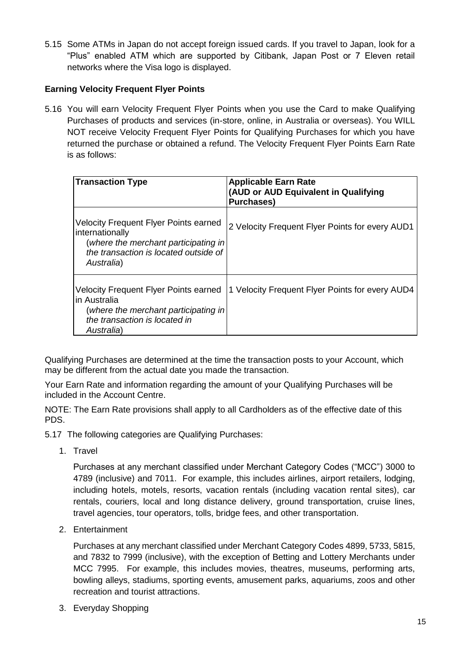5.15 Some ATMs in Japan do not accept foreign issued cards. If you travel to Japan, look for a "Plus" enabled ATM which are supported by Citibank, Japan Post or 7 Eleven retail networks where the Visa logo is displayed.

### **Earning Velocity Frequent Flyer Points**

5.16 You will earn Velocity Frequent Flyer Points when you use the Card to make Qualifying Purchases of products and services (in-store, online, in Australia or overseas). You WILL NOT receive Velocity Frequent Flyer Points for Qualifying Purchases for which you have returned the purchase or obtained a refund. The Velocity Frequent Flyer Points Earn Rate is as follows:

| <b>Transaction Type</b>                                                                                                                                        | <b>Applicable Earn Rate</b><br>(AUD or AUD Equivalent in Qualifying<br><b>Purchases)</b> |
|----------------------------------------------------------------------------------------------------------------------------------------------------------------|------------------------------------------------------------------------------------------|
| <b>Velocity Frequent Flyer Points earned</b><br>internationally<br>(where the merchant participating in<br>the transaction is located outside of<br>Australia) | 2 Velocity Frequent Flyer Points for every AUD1                                          |
| <b>Velocity Frequent Flyer Points earned</b><br>lin Australia<br>(where the merchant participating in<br>the transaction is located in<br>Australia)           | 1 Velocity Frequent Flyer Points for every AUD4                                          |

Qualifying Purchases are determined at the time the transaction posts to your Account, which may be different from the actual date you made the transaction.

Your Earn Rate and information regarding the amount of your Qualifying Purchases will be included in the Account Centre.

NOTE: The Earn Rate provisions shall apply to all Cardholders as of the effective date of this PDS.

- 5.17 The following categories are Qualifying Purchases:
	- 1. Travel

Purchases at any merchant classified under Merchant Category Codes ("MCC") 3000 to 4789 (inclusive) and 7011. For example, this includes airlines, airport retailers, lodging, including hotels, motels, resorts, vacation rentals (including vacation rental sites), car rentals, couriers, local and long distance delivery, ground transportation, cruise lines, travel agencies, tour operators, tolls, bridge fees, and other transportation.

2. Entertainment

Purchases at any merchant classified under Merchant Category Codes 4899, 5733, 5815, and 7832 to 7999 (inclusive), with the exception of Betting and Lottery Merchants under MCC 7995. For example, this includes movies, theatres, museums, performing arts, bowling alleys, stadiums, sporting events, amusement parks, aquariums, zoos and other recreation and tourist attractions.

3. Everyday Shopping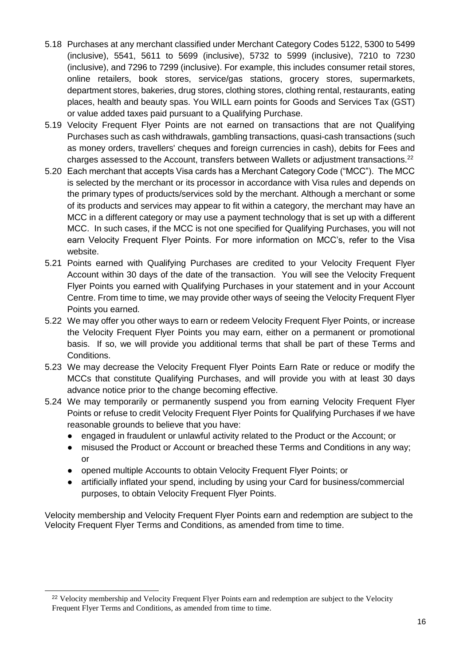- 5.18 Purchases at any merchant classified under Merchant Category Codes 5122, 5300 to 5499 (inclusive), 5541, 5611 to 5699 (inclusive), 5732 to 5999 (inclusive), 7210 to 7230 (inclusive), and 7296 to 7299 (inclusive). For example, this includes consumer retail stores, online retailers, book stores, service/gas stations, grocery stores, supermarkets, department stores, bakeries, drug stores, clothing stores, clothing rental, restaurants, eating places, health and beauty spas. You WILL earn points for Goods and Services Tax (GST) or value added taxes paid pursuant to a Qualifying Purchase.
- 5.19 Velocity Frequent Flyer Points are not earned on transactions that are not Qualifying Purchases such as cash withdrawals, gambling transactions, quasi-cash transactions (such as money orders, travellers' cheques and foreign currencies in cash), debits for Fees and charges assessed to the Account, transfers between Wallets or adjustment transactions.<sup>22</sup>
- 5.20 Each merchant that accepts Visa cards has a Merchant Category Code ("MCC"). The MCC is selected by the merchant or its processor in accordance with Visa rules and depends on the primary types of products/services sold by the merchant. Although a merchant or some of its products and services may appear to fit within a category, the merchant may have an MCC in a different category or may use a payment technology that is set up with a different MCC. In such cases, if the MCC is not one specified for Qualifying Purchases, you will not earn Velocity Frequent Flyer Points. For more information on MCC's, refer to the Visa website.
- 5.21 Points earned with Qualifying Purchases are credited to your Velocity Frequent Flyer Account within 30 days of the date of the transaction. You will see the Velocity Frequent Flyer Points you earned with Qualifying Purchases in your statement and in your Account Centre. From time to time, we may provide other ways of seeing the Velocity Frequent Flyer Points you earned.
- 5.22 We may offer you other ways to earn or redeem Velocity Frequent Flyer Points, or increase the Velocity Frequent Flyer Points you may earn, either on a permanent or promotional basis. If so, we will provide you additional terms that shall be part of these Terms and Conditions.
- 5.23 We may decrease the Velocity Frequent Flyer Points Earn Rate or reduce or modify the MCCs that constitute Qualifying Purchases, and will provide you with at least 30 days advance notice prior to the change becoming effective.
- 5.24 We may temporarily or permanently suspend you from earning Velocity Frequent Flyer Points or refuse to credit Velocity Frequent Flyer Points for Qualifying Purchases if we have reasonable grounds to believe that you have:
	- engaged in fraudulent or unlawful activity related to the Product or the Account; or
	- misused the Product or Account or breached these Terms and Conditions in any way; or
	- opened multiple Accounts to obtain Velocity Frequent Flyer Points; or
	- artificially inflated your spend, including by using your Card for business/commercial purposes, to obtain Velocity Frequent Flyer Points.

Velocity membership and Velocity Frequent Flyer Points earn and redemption are subject to the Velocity Frequent Flyer [Terms and Conditions,](https://email.virginaustralia.com/pub/cc?_ri_=X0Gzc2X%3DWQpglLjHJlYQGrzgibJl8Szd0zesNPqwnUE1lzgtpszePStLdzemsVXtpKX%3DUACTBU&_ei_=Enbk1dfJ3Z3ERCTEyp3NK91fzaB18UNLdG_0Q0EcBaxbhsRYiS3OXixy5HQ5exxIc6U4nSYji1rx0WSIGb-0Yk60ZBEwDPUNxMZPT7PmPlwMlgAEPAaQu7n3TfFRLlsu4fWsJDrmlRNIvUTXElfbodLxyDA0jWbpquELjw.) as amended from time to time.

<sup>&</sup>lt;sup>22</sup> Velocity membership and Velocity Frequent Flyer Points earn and redemption are subject to the Velocity Frequent Flyer [Terms and Conditions,](https://email.virginaustralia.com/pub/cc?_ri_=X0Gzc2X%3DWQpglLjHJlYQGrzgibJl8Szd0zesNPqwnUE1lzgtpszePStLdzemsVXtpKX%3DUACTBU&_ei_=Enbk1dfJ3Z3ERCTEyp3NK91fzaB18UNLdG_0Q0EcBaxbhsRYiS3OXixy5HQ5exxIc6U4nSYji1rx0WSIGb-0Yk60ZBEwDPUNxMZPT7PmPlwMlgAEPAaQu7n3TfFRLlsu4fWsJDrmlRNIvUTXElfbodLxyDA0jWbpquELjw.) as amended from time to time.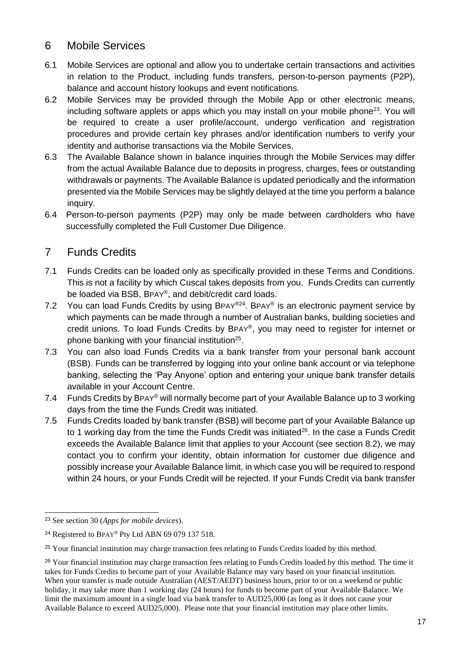# <span id="page-24-0"></span>6 Mobile Services

- 6.1 Mobile Services are optional and allow you to undertake certain transactions and activities in relation to the Product, including funds transfers, person-to-person payments (P2P), balance and account history lookups and event notifications.
- 6.2 Mobile Services may be provided through the Mobile App or other electronic means, including software applets or apps which you may install on your mobile phone<sup>23</sup>. You will be required to create a user profile/account, undergo verification and registration procedures and provide certain key phrases and/or identification numbers to verify your identity and authorise transactions via the Mobile Services.
- 6.3 The Available Balance shown in balance inquiries through the Mobile Services may differ from the actual Available Balance due to deposits in progress, charges, fees or outstanding withdrawals or payments. The Available Balance is updated periodically and the information presented via the Mobile Services may be slightly delayed at the time you perform a balance inquiry.
- 6.4 Person-to-person payments (P2P) may only be made between cardholders who have successfully completed the Full Customer Due Diligence.

# <span id="page-24-1"></span>7 Funds Credits

- 7.1 Funds Credits can be loaded only as specifically provided in these Terms and Conditions. This is not a facility by which Cuscal takes deposits from you. Funds Credits can currently be loaded via BSB, BPAY® , and debit/credit card loads.
- 7.2 You can load Funds Credits by using BPAY $^{\circledR 24}$ . BPAY $^{\circledR}$  is an electronic payment service by which payments can be made through a number of Australian banks, building societies and credit unions. To load Funds Credits by BPAY® , you may need to register for internet or phone banking with your financial institution<sup>25</sup>.
- 7.3 You can also load Funds Credits via a bank transfer from your personal bank account (BSB). Funds can be transferred by logging into your online bank account or via telephone banking, selecting the 'Pay Anyone' option and entering your unique bank transfer details available in your Account Centre.
- 7.4 Funds Credits by BPAY® will normally become part of your Available Balance up to 3 working days from the time the Funds Credit was initiated.
- 7.5 Funds Credits loaded by bank transfer (BSB) will become part of your Available Balance up to 1 working day from the time the Funds Credit was initiated<sup>26</sup>. In the case a Funds Credit exceeds the Available Balance limit that applies to your Account (see section 8.2), we may contact you to confirm your identity, obtain information for customer due diligence and possibly increase your Available Balance limit, in which case you will be required to respond within 24 hours, or your Funds Credit will be rejected. If your Funds Credit via bank transfer

<sup>23</sup> See section 30 (*Apps for mobile devices*).

<sup>&</sup>lt;sup>24</sup> Registered to BPAY® Pty Ltd ABN 69 079 137 518.

<sup>&</sup>lt;sup>25</sup> Your financial institution may charge transaction fees relating to Funds Credits loaded by this method.

<sup>&</sup>lt;sup>26</sup> Your financial institution may charge transaction fees relating to Funds Credits loaded by this method. The time it takes for Funds Credits to become part of your Available Balance may vary based on your financial institution. When your transfer is made outside Australian (AEST/AEDT) business hours, prior to or on a weekend or public holiday, it may take more than 1 working day (24 hours) for funds to become part of your Available Balance. We limit the maximum amount in a single load via bank transfer to AUD25,000 (as long as it does not cause your Available Balance to exceed AUD25,000). Please note that your financial institution may place other limits.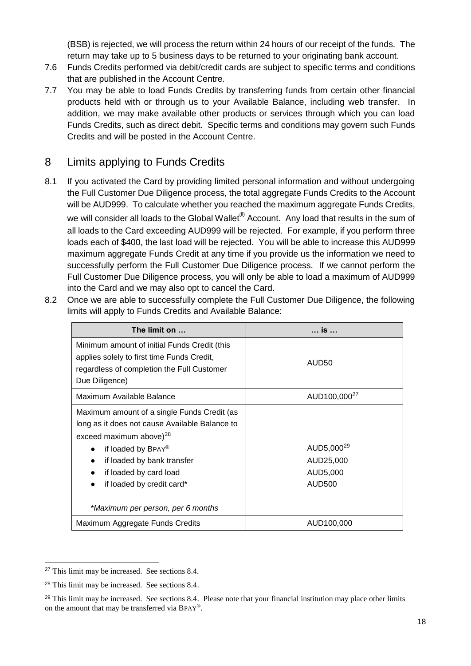(BSB) is rejected, we will process the return within 24 hours of our receipt of the funds. The return may take up to 5 business days to be returned to your originating bank account.

- 7.6 Funds Credits performed via debit/credit cards are subject to specific terms and conditions that are published in the Account Centre.
- 7.7 You may be able to load Funds Credits by transferring funds from certain other financial products held with or through us to your Available Balance, including web transfer. In addition, we may make available other products or services through which you can load Funds Credits, such as direct debit. Specific terms and conditions may govern such Funds Credits and will be posted in the Account Centre.

# <span id="page-25-0"></span>8 Limits applying to Funds Credits

8.1 If you activated the Card by providing limited personal information and without undergoing the Full Customer Due Diligence process, the total aggregate Funds Credits to the Account will be AUD999. To calculate whether you reached the maximum aggregate Funds Credits, we will consider all loads to the Global Wallet<sup>®</sup> Account. Any load that results in the sum of all loads to the Card exceeding AUD999 will be rejected. For example, if you perform three loads each of \$400, the last load will be rejected. You will be able to increase this AUD999 maximum aggregate Funds Credit at any time if you provide us the information we need to successfully perform the Full Customer Due Diligence process. If we cannot perform the Full Customer Due Diligence process, you will only be able to load a maximum of AUD999 into the Card and we may also opt to cancel the Card.

| The limit on                                                                                                                                                                                                                                                        | $$ is $$                                                  |
|---------------------------------------------------------------------------------------------------------------------------------------------------------------------------------------------------------------------------------------------------------------------|-----------------------------------------------------------|
| Minimum amount of initial Funds Credit (this<br>applies solely to first time Funds Credit,<br>regardless of completion the Full Customer<br>Due Diligence)                                                                                                          | AUD50                                                     |
| Maximum Available Balance                                                                                                                                                                                                                                           | AUD100,000 <sup>27</sup>                                  |
| Maximum amount of a single Funds Credit (as<br>long as it does not cause Available Balance to<br>exceed maximum above) $^{28}$<br>if loaded by BPAY®<br>$\bullet$<br>if loaded by bank transfer<br>$\bullet$<br>if loaded by card load<br>if loaded by credit card* | AUD5,000 <sup>29</sup><br>AUD25,000<br>AUD5,000<br>AUD500 |
| *Maximum per person, per 6 months                                                                                                                                                                                                                                   |                                                           |
| Maximum Aggregate Funds Credits                                                                                                                                                                                                                                     | AUD100,000                                                |

8.2 Once we are able to successfully complete the Full Customer Due Diligence, the following limits will apply to Funds Credits and Available Balance:

<sup>27</sup> This limit may be increased. See sections 8.4.

<sup>28</sup> This limit may be increased. See sections 8.4.

 $29$  This limit may be increased. See sections 8.4. Please note that your financial institution may place other limits on the amount that may be transferred via BPAY®.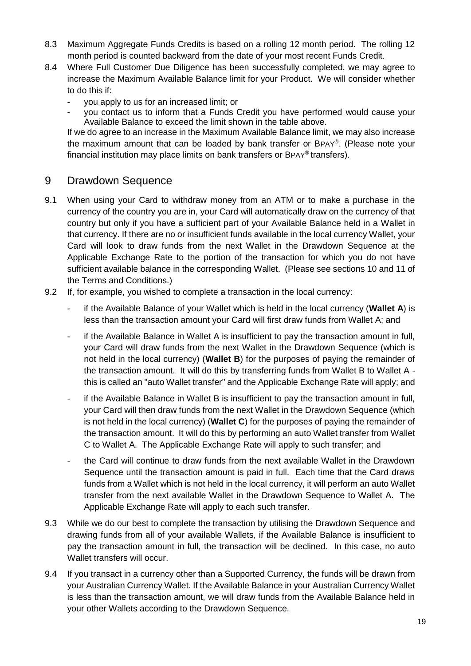- 8.3 Maximum Aggregate Funds Credits is based on a rolling 12 month period. The rolling 12 month period is counted backward from the date of your most recent Funds Credit.
- 8.4 Where Full Customer Due Diligence has been successfully completed, we may agree to increase the Maximum Available Balance limit for your Product. We will consider whether to do this if:
	- you apply to us for an increased limit; or
	- you contact us to inform that a Funds Credit you have performed would cause your Available Balance to exceed the limit shown in the table above.

If we do agree to an increase in the Maximum Available Balance limit, we may also increase the maximum amount that can be loaded by bank transfer or BPAY®. (Please note your financial institution may place limits on bank transfers or BPAY® transfers).

### <span id="page-26-0"></span>9 Drawdown Sequence

- 9.1 When using your Card to withdraw money from an ATM or to make a purchase in the currency of the country you are in, your Card will automatically draw on the currency of that country but only if you have a sufficient part of your Available Balance held in a Wallet in that currency. If there are no or insufficient funds available in the local currency Wallet, your Card will look to draw funds from the next Wallet in the Drawdown Sequence at the Applicable Exchange Rate to the portion of the transaction for which you do not have sufficient available balance in the corresponding Wallet. (Please see sections 10 and 11 of the Terms and Conditions.)
- 9.2 If, for example, you wished to complete a transaction in the local currency:
	- if the Available Balance of your Wallet which is held in the local currency (Wallet A) is less than the transaction amount your Card will first draw funds from Wallet A; and
	- if the Available Balance in Wallet A is insufficient to pay the transaction amount in full, your Card will draw funds from the next Wallet in the Drawdown Sequence (which is not held in the local currency) (**Wallet B**) for the purposes of paying the remainder of the transaction amount. It will do this by transferring funds from Wallet B to Wallet A this is called an "auto Wallet transfer" and the Applicable Exchange Rate will apply; and
	- if the Available Balance in Wallet B is insufficient to pay the transaction amount in full, your Card will then draw funds from the next Wallet in the Drawdown Sequence (which is not held in the local currency) (**Wallet C**) for the purposes of paying the remainder of the transaction amount. It will do this by performing an auto Wallet transfer from Wallet C to Wallet A. The Applicable Exchange Rate will apply to such transfer; and
	- the Card will continue to draw funds from the next available Wallet in the Drawdown Sequence until the transaction amount is paid in full. Each time that the Card draws funds from a Wallet which is not held in the local currency, it will perform an auto Wallet transfer from the next available Wallet in the Drawdown Sequence to Wallet A. The Applicable Exchange Rate will apply to each such transfer.
- 9.3 While we do our best to complete the transaction by utilising the Drawdown Sequence and drawing funds from all of your available Wallets, if the Available Balance is insufficient to pay the transaction amount in full, the transaction will be declined. In this case, no auto Wallet transfers will occur.
- 9.4 If you transact in a currency other than a Supported Currency, the funds will be drawn from your Australian Currency Wallet. If the Available Balance in your Australian Currency Wallet is less than the transaction amount, we will draw funds from the Available Balance held in your other Wallets according to the Drawdown Sequence.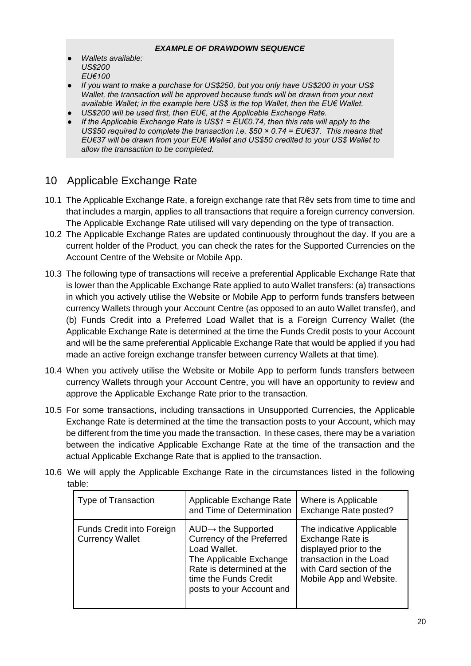#### *EXAMPLE OF DRAWDOWN SEQUENCE*

- *Wallets available: US\$200 EU€100*
- *If you want to make a purchase for US\$250, but you only have US\$200 in your US\$ Wallet, the transaction will be approved because funds will be drawn from your next available Wallet; in the example here US\$ is the top Wallet, then the EU€ Wallet.*
- US\$200 will be used first, then EU€, at the Applicable Exchange Rate.
- *If the Applicable Exchange Rate is US\$1 = EU* $\epsilon$ *0.74, then this rate will apply to the US\$50 required to complete the transaction i.e. \$50 × 0.74 = EU€37. This means that EU€37 will be drawn from your EU€ Wallet and US\$50 credited to your US\$ Wallet to allow the transaction to be completed.*

# <span id="page-27-0"></span>10 Applicable Exchange Rate

- 10.1 The Applicable Exchange Rate, a foreign exchange rate that Rêv sets from time to time and that includes a margin, applies to all transactions that require a foreign currency conversion. The Applicable Exchange Rate utilised will vary depending on the type of transaction.
- 10.2 The Applicable Exchange Rates are updated continuously throughout the day. If you are a current holder of the Product, you can check the rates for the Supported Currencies on the Account Centre of the Website or Mobile App.
- 10.3 The following type of transactions will receive a preferential Applicable Exchange Rate that is lower than the Applicable Exchange Rate applied to auto Wallet transfers: (a) transactions in which you actively utilise the Website or Mobile App to perform funds transfers between currency Wallets through your Account Centre (as opposed to an auto Wallet transfer), and (b) Funds Credit into a Preferred Load Wallet that is a Foreign Currency Wallet (the Applicable Exchange Rate is determined at the time the Funds Credit posts to your Account and will be the same preferential Applicable Exchange Rate that would be applied if you had made an active foreign exchange transfer between currency Wallets at that time).
- 10.4 When you actively utilise the Website or Mobile App to perform funds transfers between currency Wallets through your Account Centre, you will have an opportunity to review and approve the Applicable Exchange Rate prior to the transaction.
- 10.5 For some transactions, including transactions in Unsupported Currencies, the Applicable Exchange Rate is determined at the time the transaction posts to your Account, which may be different from the time you made the transaction. In these cases, there may be a variation between the indicative Applicable Exchange Rate at the time of the transaction and the actual Applicable Exchange Rate that is applied to the transaction.
- 10.6 We will apply the Applicable Exchange Rate in the circumstances listed in the following table:

| <b>Type of Transaction</b>                          | Applicable Exchange Rate<br>and Time of Determination                                                                                                                                      | Where is Applicable<br>Exchange Rate posted?                                                                                                              |
|-----------------------------------------------------|--------------------------------------------------------------------------------------------------------------------------------------------------------------------------------------------|-----------------------------------------------------------------------------------------------------------------------------------------------------------|
| Funds Credit into Foreign<br><b>Currency Wallet</b> | $AUD \rightarrow$ the Supported<br>Currency of the Preferred<br>Load Wallet.<br>The Applicable Exchange<br>Rate is determined at the<br>time the Funds Credit<br>posts to your Account and | The indicative Applicable<br>Exchange Rate is<br>displayed prior to the<br>transaction in the Load<br>with Card section of the<br>Mobile App and Website. |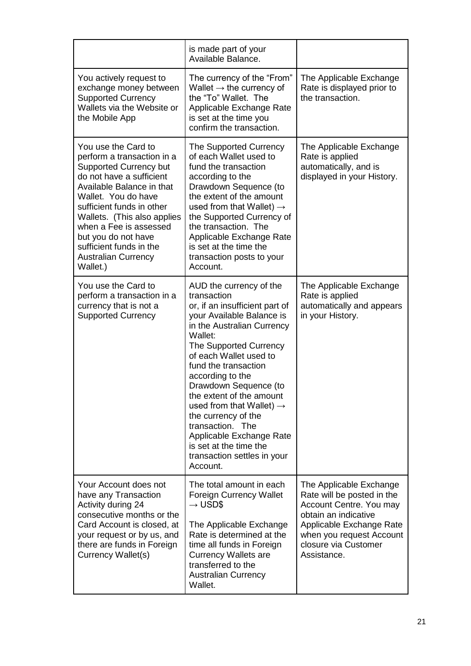|                                                                                                                                                                                                                                                                                                                                                      | is made part of your<br>Available Balance.                                                                                                                                                                                                                                                                                                                                                                                                                                              |                                                                                                                                                                                                         |
|------------------------------------------------------------------------------------------------------------------------------------------------------------------------------------------------------------------------------------------------------------------------------------------------------------------------------------------------------|-----------------------------------------------------------------------------------------------------------------------------------------------------------------------------------------------------------------------------------------------------------------------------------------------------------------------------------------------------------------------------------------------------------------------------------------------------------------------------------------|---------------------------------------------------------------------------------------------------------------------------------------------------------------------------------------------------------|
| You actively request to<br>exchange money between<br><b>Supported Currency</b><br>Wallets via the Website or<br>the Mobile App                                                                                                                                                                                                                       | The currency of the "From"<br>Wallet $\rightarrow$ the currency of<br>the "To" Wallet. The<br>Applicable Exchange Rate<br>is set at the time you<br>confirm the transaction.                                                                                                                                                                                                                                                                                                            | The Applicable Exchange<br>Rate is displayed prior to<br>the transaction.                                                                                                                               |
| You use the Card to<br>perform a transaction in a<br><b>Supported Currency but</b><br>do not have a sufficient<br>Available Balance in that<br>Wallet. You do have<br>sufficient funds in other<br>Wallets. (This also applies<br>when a Fee is assessed<br>but you do not have<br>sufficient funds in the<br><b>Australian Currency</b><br>Wallet.) | The Supported Currency<br>of each Wallet used to<br>fund the transaction<br>according to the<br>Drawdown Sequence (to<br>the extent of the amount<br>used from that Wallet) $\rightarrow$<br>the Supported Currency of<br>the transaction. The<br>Applicable Exchange Rate<br>is set at the time the<br>transaction posts to your<br>Account.                                                                                                                                           | The Applicable Exchange<br>Rate is applied<br>automatically, and is<br>displayed in your History.                                                                                                       |
| You use the Card to<br>perform a transaction in a<br>currency that is not a<br><b>Supported Currency</b>                                                                                                                                                                                                                                             | AUD the currency of the<br>transaction<br>or, if an insufficient part of<br>your Available Balance is<br>in the Australian Currency<br>Wallet:<br>The Supported Currency<br>of each Wallet used to<br>fund the transaction<br>according to the<br>Drawdown Sequence (to<br>the extent of the amount<br>used from that Wallet) $\rightarrow$<br>the currency of the<br>transaction. The<br>Applicable Exchange Rate<br>is set at the time the<br>transaction settles in your<br>Account. | The Applicable Exchange<br>Rate is applied<br>automatically and appears<br>in your History.                                                                                                             |
| Your Account does not<br>have any Transaction<br>Activity during 24<br>consecutive months or the<br>Card Account is closed, at<br>your request or by us, and<br>there are funds in Foreign<br>Currency Wallet(s)                                                                                                                                     | The total amount in each<br><b>Foreign Currency Wallet</b><br>$\rightarrow$ USD\$<br>The Applicable Exchange<br>Rate is determined at the<br>time all funds in Foreign<br><b>Currency Wallets are</b><br>transferred to the<br><b>Australian Currency</b><br>Wallet.                                                                                                                                                                                                                    | The Applicable Exchange<br>Rate will be posted in the<br>Account Centre. You may<br>obtain an indicative<br>Applicable Exchange Rate<br>when you request Account<br>closure via Customer<br>Assistance. |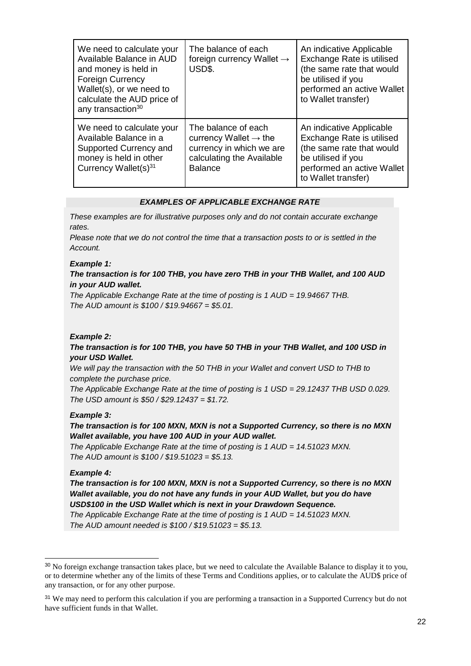| We need to calculate your<br>Available Balance in AUD<br>and money is held in<br><b>Foreign Currency</b><br>Wallet(s), or we need to<br>calculate the AUD price of<br>any transaction <sup>30</sup> | The balance of each<br>foreign currency Wallet $\rightarrow$<br>USD\$.                                                              | An indicative Applicable<br>Exchange Rate is utilised<br>(the same rate that would<br>be utilised if you<br>performed an active Wallet<br>to Wallet transfer) |
|-----------------------------------------------------------------------------------------------------------------------------------------------------------------------------------------------------|-------------------------------------------------------------------------------------------------------------------------------------|---------------------------------------------------------------------------------------------------------------------------------------------------------------|
| We need to calculate your<br>Available Balance in a<br>Supported Currency and<br>money is held in other<br>Currency Wallet(s) <sup>31</sup>                                                         | The balance of each<br>currency Wallet $\rightarrow$ the<br>currency in which we are<br>calculating the Available<br><b>Balance</b> | An indicative Applicable<br>Exchange Rate is utilised<br>(the same rate that would<br>be utilised if you<br>performed an active Wallet<br>to Wallet transfer) |

#### *EXAMPLES OF APPLICABLE EXCHANGE RATE*

*These examples are for illustrative purposes only and do not contain accurate exchange rates.*

*Please note that we do not control the time that a transaction posts to or is settled in the Account.*

#### *Example 1:*

#### *The transaction is for 100 THB, you have zero THB in your THB Wallet, and 100 AUD in your AUD wallet.*

*The Applicable Exchange Rate at the time of posting is 1 AUD = 19.94667 THB. The AUD amount is \$100 / \$19.94667 = \$5.01.*

#### *Example 2:*

#### *The transaction is for 100 THB, you have 50 THB in your THB Wallet, and 100 USD in your USD Wallet.*

*We will pay the transaction with the 50 THB in your Wallet and convert USD to THB to complete the purchase price.*

*The Applicable Exchange Rate at the time of posting is 1 USD = 29.12437 THB USD 0.029. The USD amount is \$50 / \$29.12437 = \$1.72.*

#### *Example 3:*

*The transaction is for 100 MXN, MXN is not a Supported Currency, so there is no MXN Wallet available, you have 100 AUD in your AUD wallet.*

*The Applicable Exchange Rate at the time of posting is 1 AUD = 14.51023 MXN. The AUD amount is \$100 / \$19.51023 = \$5.13.*

#### *Example 4:*

l

*The transaction is for 100 MXN, MXN is not a Supported Currency, so there is no MXN Wallet available, you do not have any funds in your AUD Wallet, but you do have USD\$100 in the USD Wallet which is next in your Drawdown Sequence.* 

*The Applicable Exchange Rate at the time of posting is 1 AUD = 14.51023 MXN. The AUD amount needed is \$100 / \$19.51023 = \$5.13.*

<sup>30</sup> No foreign exchange transaction takes place, but we need to calculate the Available Balance to display it to you, or to determine whether any of the limits of these Terms and Conditions applies, or to calculate the AUD\$ price of any transaction, or for any other purpose.

<sup>&</sup>lt;sup>31</sup> We may need to perform this calculation if you are performing a transaction in a Supported Currency but do not have sufficient funds in that Wallet.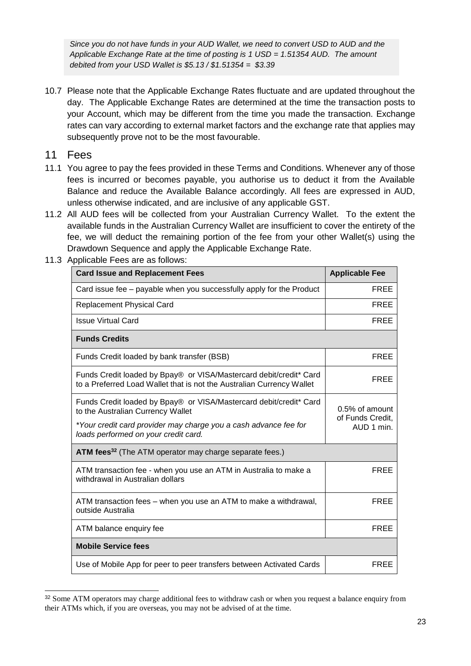*Since you do not have funds in your AUD Wallet, we need to convert USD to AUD and the Applicable Exchange Rate at the time of posting is 1 USD = 1.51354 AUD. The amount debited from your USD Wallet is \$5.13 / \$1.51354 = \$3.39*

10.7 Please note that the Applicable Exchange Rates fluctuate and are updated throughout the day. The Applicable Exchange Rates are determined at the time the transaction posts to your Account, which may be different from the time you made the transaction. Exchange rates can vary according to external market factors and the exchange rate that applies may subsequently prove not to be the most favourable.

### 11 Fees

l

- 11.1 You agree to pay the fees provided in these Terms and Conditions. Whenever any of those fees is incurred or becomes payable, you authorise us to deduct it from the Available Balance and reduce the Available Balance accordingly. All fees are expressed in AUD, unless otherwise indicated, and are inclusive of any applicable GST.
- 11.2 All AUD fees will be collected from your Australian Currency Wallet. To the extent the available funds in the Australian Currency Wallet are insufficient to cover the entirety of the fee, we will deduct the remaining portion of the fee from your other Wallet(s) using the Drawdown Sequence and apply the Applicable Exchange Rate.

| <b>Card Issue and Replacement Fees</b>                                                                                                      | <b>Applicable Fee</b>                            |
|---------------------------------------------------------------------------------------------------------------------------------------------|--------------------------------------------------|
| Card issue fee – payable when you successfully apply for the Product                                                                        | <b>FREE</b>                                      |
| <b>Replacement Physical Card</b>                                                                                                            | <b>FREE</b>                                      |
| <b>Issue Virtual Card</b>                                                                                                                   | <b>FREE</b>                                      |
| <b>Funds Credits</b>                                                                                                                        |                                                  |
| Funds Credit loaded by bank transfer (BSB)                                                                                                  | <b>FREE</b>                                      |
| Funds Credit loaded by Bpay® or VISA/Mastercard debit/credit* Card<br>to a Preferred Load Wallet that is not the Australian Currency Wallet | <b>FREE</b>                                      |
| Funds Credit loaded by Bpay® or VISA/Mastercard debit/credit* Card<br>to the Australian Currency Wallet                                     | 0.5% of amount<br>of Funds Credit,<br>AUD 1 min. |
| *Your credit card provider may charge you a cash advance fee for<br>loads performed on your credit card.                                    |                                                  |
| ATM fees <sup>32</sup> (The ATM operator may charge separate fees.)                                                                         |                                                  |
| ATM transaction fee - when you use an ATM in Australia to make a<br>withdrawal in Australian dollars                                        | <b>FREE</b>                                      |
| ATM transaction fees – when you use an ATM to make a withdrawal,<br>outside Australia                                                       | <b>FREE</b>                                      |
| ATM balance enquiry fee                                                                                                                     | <b>FREE</b>                                      |
| <b>Mobile Service fees</b>                                                                                                                  |                                                  |
| Use of Mobile App for peer to peer transfers between Activated Cards                                                                        | <b>FREE</b>                                      |
|                                                                                                                                             |                                                  |

11.3 Applicable Fees are as follows:

<sup>&</sup>lt;sup>32</sup> Some ATM operators may charge additional fees to withdraw cash or when you request a balance enquiry from their ATMs which, if you are overseas, you may not be advised of at the time.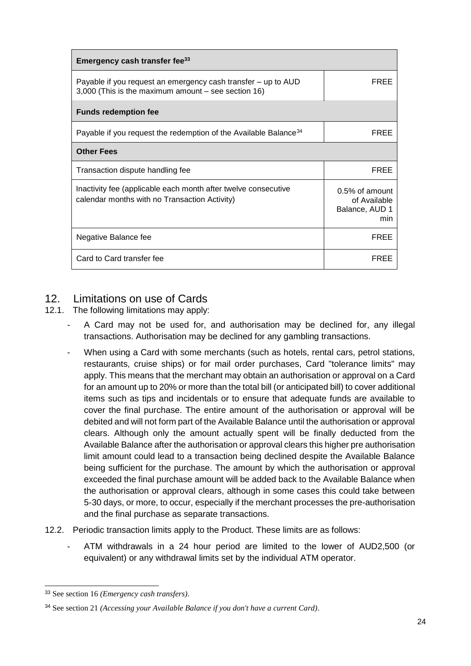| Emergency cash transfer fee <sup>33</sup>                                                                            |                                                            |
|----------------------------------------------------------------------------------------------------------------------|------------------------------------------------------------|
| Payable if you request an emergency cash transfer – up to AUD<br>3,000 (This is the maximum amount – see section 16) | FRFF                                                       |
| <b>Funds redemption fee</b>                                                                                          |                                                            |
| Payable if you request the redemption of the Available Balance <sup>34</sup>                                         | FREE                                                       |
| <b>Other Fees</b>                                                                                                    |                                                            |
| Transaction dispute handling fee                                                                                     | FRFF                                                       |
| Inactivity fee (applicable each month after twelve consecutive<br>calendar months with no Transaction Activity)      | $0.5\%$ of amount<br>of Available<br>Balance, AUD 1<br>min |
| Negative Balance fee                                                                                                 | <b>FREE</b>                                                |
| Card to Card transfer fee                                                                                            | FRFF                                                       |

# <span id="page-31-0"></span>12. Limitations on use of Cards

- 12.1. The following limitations may apply:
	- A Card may not be used for, and authorisation may be declined for, any illegal transactions. Authorisation may be declined for any gambling transactions.
	- When using a Card with some merchants (such as hotels, rental cars, petrol stations, restaurants, cruise ships) or for mail order purchases, Card "tolerance limits" may apply. This means that the merchant may obtain an authorisation or approval on a Card for an amount up to 20% or more than the total bill (or anticipated bill) to cover additional items such as tips and incidentals or to ensure that adequate funds are available to cover the final purchase. The entire amount of the authorisation or approval will be debited and will not form part of the Available Balance until the authorisation or approval clears. Although only the amount actually spent will be finally deducted from the Available Balance after the authorisation or approval clears this higher pre authorisation limit amount could lead to a transaction being declined despite the Available Balance being sufficient for the purchase. The amount by which the authorisation or approval exceeded the final purchase amount will be added back to the Available Balance when the authorisation or approval clears, although in some cases this could take between 5-30 days, or more, to occur, especially if the merchant processes the pre-authorisation and the final purchase as separate transactions.
- 12.2. Periodic transaction limits apply to the Product. These limits are as follows:
	- ATM withdrawals in a 24 hour period are limited to the lower of AUD2,500 (or equivalent) or any withdrawal limits set by the individual ATM operator.

<sup>33</sup> See section 16 *(Emergency cash transfers)*.

<sup>34</sup> See section 21 *(Accessing your Available Balance if you don't have a current Card)*.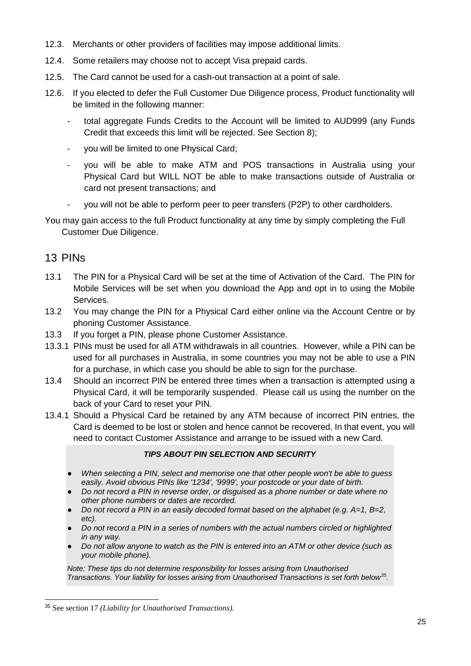- 12.3. Merchants or other providers of facilities may impose additional limits.
- 12.4. Some retailers may choose not to accept Visa prepaid cards.
- 12.5. The Card cannot be used for a cash-out transaction at a point of sale.
- 12.6. If you elected to defer the Full Customer Due Diligence process, Product functionality will be limited in the following manner:
	- total aggregate Funds Credits to the Account will be limited to AUD999 (any Funds Credit that exceeds this limit will be rejected. See Section 8);
	- you will be limited to one Physical Card;
	- you will be able to make ATM and POS transactions in Australia using your Physical Card but WILL NOT be able to make transactions outside of Australia or card not present transactions; and
	- you will not be able to perform peer to peer transfers (P2P) to other cardholders.
- You may gain access to the full Product functionality at any time by simply completing the Full Customer Due Diligence.

### <span id="page-32-0"></span>13 PINs

l

- 13.1 The PIN for a Physical Card will be set at the time of Activation of the Card. The PIN for Mobile Services will be set when you download the App and opt in to using the Mobile Services.
- 13.2 You may change the PIN for a Physical Card either online via the Account Centre or by phoning Customer Assistance.
- 13.3 If you forget a PIN, please phone Customer Assistance.
- 13.3.1 PINs must be used for all ATM withdrawals in all countries. However, while a PIN can be used for all purchases in Australia, in some countries you may not be able to use a PIN for a purchase, in which case you should be able to sign for the purchase.
- 13.4 Should an incorrect PIN be entered three times when a transaction is attempted using a Physical Card, it will be temporarily suspended. Please call us using the number on the back of your Card to reset your PIN.
- 13.4.1 Should a Physical Card be retained by any ATM because of incorrect PIN entries, the Card is deemed to be lost or stolen and hence cannot be recovered. In that event, you will need to contact Customer Assistance and arrange to be issued with a new Card.

#### *TIPS ABOUT PIN SELECTION AND SECURITY*

- *When selecting a PIN, select and memorise one that other people won't be able to guess easily. Avoid obvious PINs like '1234', '9999', your postcode or your date of birth.*
- *Do not record a PIN in reverse order, or disguised as a phone number or date where no other phone numbers or dates are recorded.*
- *Do not record a PIN in an easily decoded format based on the alphabet (e.g. A=1, B=2, etc).*
- Do not record a PIN in a series of numbers with the actual numbers circled or highlighted *in any way.*
- Do not allow anyone to watch as the PIN is entered into an ATM or other device (such as *your mobile phone).*

*Note: These tips do not determine responsibility for losses arising from Unauthorised Transactions. Your liability for losses arising from Unauthorised Transactions is set forth below<sup>35</sup> .*

<sup>35</sup> See section 17 *(Liability for Unauthorised Transactions)*.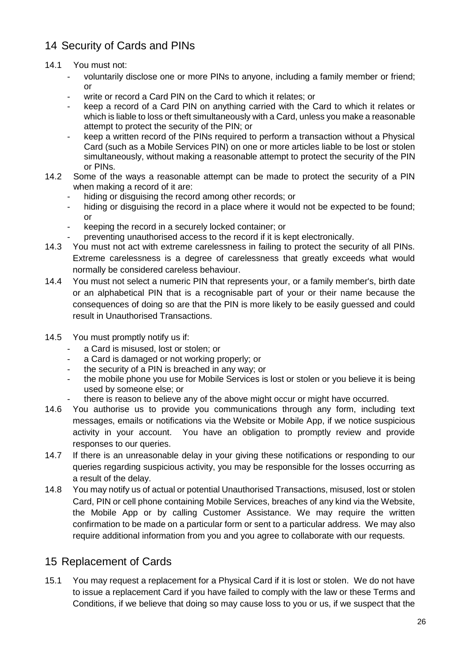# <span id="page-33-0"></span>14 Security of Cards and PINs

### <span id="page-33-1"></span>14.1 You must not:

- voluntarily disclose one or more PINs to anyone, including a family member or friend; or
- write or record a Card PIN on the Card to which it relates; or
- keep a record of a Card PIN on anything carried with the Card to which it relates or which is liable to loss or theft simultaneously with a Card, unless you make a reasonable attempt to protect the security of the PIN; or
- keep a written record of the PINs required to perform a transaction without a Physical Card (such as a Mobile Services PIN) on one or more articles liable to be lost or stolen simultaneously, without making a reasonable attempt to protect the security of the PIN or PINs.
- 14.2 Some of the ways a reasonable attempt can be made to protect the security of a PIN when making a record of it are:
	- hiding or disguising the record among other records; or
	- hiding or disguising the record in a place where it would not be expected to be found; or
	- keeping the record in a securely locked container; or
	- preventing unauthorised access to the record if it is kept electronically.
- 14.3 You must not act with extreme carelessness in failing to protect the security of all PINs. Extreme carelessness is a degree of carelessness that greatly exceeds what would normally be considered careless behaviour.
- 14.4 You must not select a numeric PIN that represents your, or a family member's, birth date or an alphabetical PIN that is a recognisable part of your or their name because the consequences of doing so are that the PIN is more likely to be easily guessed and could result in Unauthorised Transactions.
- 14.5 You must promptly notify us if:
	- a Card is misused, lost or stolen; or
	- a Card is damaged or not working properly; or
	- the security of a PIN is breached in any way; or
	- the mobile phone you use for Mobile Services is lost or stolen or you believe it is being used by someone else; or
	- there is reason to believe any of the above might occur or might have occurred.
- 14.6 You authorise us to provide you communications through any form, including text messages, emails or notifications via the Website or Mobile App, if we notice suspicious activity in your account. You have an obligation to promptly review and provide responses to our queries.
- 14.7 If there is an unreasonable delay in your giving these notifications or responding to our queries regarding suspicious activity, you may be responsible for the losses occurring as a result of the delay.
- 14.8 You may notify us of actual or potential Unauthorised Transactions, misused, lost or stolen Card, PIN or cell phone containing Mobile Services, breaches of any kind via the Website, the Mobile App or by calling Customer Assistance. We may require the written confirmation to be made on a particular form or sent to a particular address. We may also require additional information from you and you agree to collaborate with our requests.

### <span id="page-33-2"></span>15 Replacement of Cards

15.1 You may request a replacement for a Physical Card if it is lost or stolen. We do not have to issue a replacement Card if you have failed to comply with the law or these Terms and Conditions, if we believe that doing so may cause loss to you or us, if we suspect that the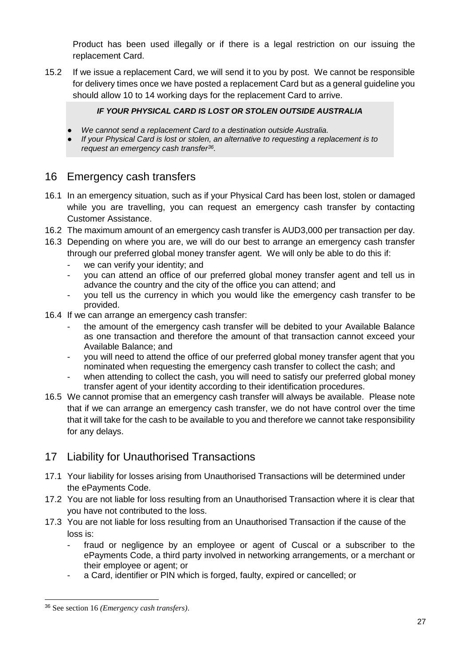Product has been used illegally or if there is a legal restriction on our issuing the replacement Card.

15.2 If we issue a replacement Card, we will send it to you by post. We cannot be responsible for delivery times once we have posted a replacement Card but as a general guideline you should allow 10 to 14 working days for the replacement Card to arrive.

### *IF YOUR PHYSICAL CARD IS LOST OR STOLEN OUTSIDE AUSTRALIA*

- We cannot send a replacement Card to a destination outside Australia.
- *If your Physical Card is lost or stolen, an alternative to requesting a replacement is to request an emergency cash transfer<sup>36</sup> .*

# <span id="page-34-0"></span>16 Emergency cash transfers

- 16.1 In an emergency situation, such as if your Physical Card has been lost, stolen or damaged while you are travelling, you can request an emergency cash transfer by contacting Customer Assistance.
- 16.2 The maximum amount of an emergency cash transfer is AUD3,000 per transaction per day.
- 16.3 Depending on where you are, we will do our best to arrange an emergency cash transfer through our preferred global money transfer agent. We will only be able to do this if:
	- we can verify your identity; and
	- you can attend an office of our preferred global money transfer agent and tell us in advance the country and the city of the office you can attend; and
	- you tell us the currency in which you would like the emergency cash transfer to be provided.
- 16.4 If we can arrange an emergency cash transfer:
	- the amount of the emergency cash transfer will be debited to your Available Balance as one transaction and therefore the amount of that transaction cannot exceed your Available Balance; and
	- you will need to attend the office of our preferred global money transfer agent that you nominated when requesting the emergency cash transfer to collect the cash; and
	- when attending to collect the cash, you will need to satisfy our preferred global money transfer agent of your identity according to their identification procedures.
- 16.5 We cannot promise that an emergency cash transfer will always be available. Please note that if we can arrange an emergency cash transfer, we do not have control over the time that it will take for the cash to be available to you and therefore we cannot take responsibility for any delays.

# <span id="page-34-1"></span>17 Liability for Unauthorised Transactions

- 17.1 Your liability for losses arising from Unauthorised Transactions will be determined under the ePayments Code.
- 17.2 You are not liable for loss resulting from an Unauthorised Transaction where it is clear that you have not contributed to the loss.
- 17.3 You are not liable for loss resulting from an Unauthorised Transaction if the cause of the loss is:
	- fraud or negligence by an employee or agent of Cuscal or a subscriber to the ePayments Code, a third party involved in networking arrangements, or a merchant or their employee or agent; or
	- a Card, identifier or PIN which is forged, faulty, expired or cancelled; or

<sup>36</sup> See section 16 *(Emergency cash transfers)*.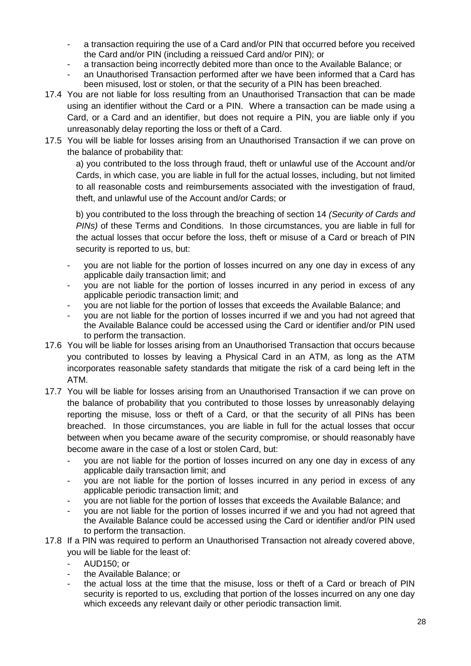- a transaction requiring the use of a Card and/or PIN that occurred before you received the Card and/or PIN (including a reissued Card and/or PIN); or
- a transaction being incorrectly debited more than once to the Available Balance; or
- an Unauthorised Transaction performed after we have been informed that a Card has been misused, lost or stolen, or that the security of a PIN has been breached.
- 17.4 You are not liable for loss resulting from an Unauthorised Transaction that can be made using an identifier without the Card or a PIN. Where a transaction can be made using a Card, or a Card and an identifier, but does not require a PIN, you are liable only if you unreasonably delay reporting the loss or theft of a Card.
- 17.5 You will be liable for losses arising from an Unauthorised Transaction if we can prove on the balance of probability that:

a) you contributed to the loss through fraud, theft or unlawful use of the Account and/or Cards, in which case, you are liable in full for the actual losses, including, but not limited to all reasonable costs and reimbursements associated with the investigation of fraud, theft, and unlawful use of the Account and/or Cards; or

b) you contributed to the loss through the breaching of section 14 *(Security of Cards and PINs)* of these Terms and Conditions. In those circumstances, you are liable in full for the actual losses that occur before the loss, theft or misuse of a Card or breach of PIN security is reported to us, but:

- you are not liable for the portion of losses incurred on any one day in excess of any applicable daily transaction limit; and
- you are not liable for the portion of losses incurred in any period in excess of any applicable periodic transaction limit; and
- you are not liable for the portion of losses that exceeds the Available Balance; and
- you are not liable for the portion of losses incurred if we and you had not agreed that the Available Balance could be accessed using the Card or identifier and/or PIN used to perform the transaction.
- 17.6 You will be liable for losses arising from an Unauthorised Transaction that occurs because you contributed to losses by leaving a Physical Card in an ATM, as long as the ATM incorporates reasonable safety standards that mitigate the risk of a card being left in the ATM.
- 17.7 You will be liable for losses arising from an Unauthorised Transaction if we can prove on the balance of probability that you contributed to those losses by unreasonably delaying reporting the misuse, loss or theft of a Card, or that the security of all PINs has been breached. In those circumstances, you are liable in full for the actual losses that occur between when you became aware of the security compromise, or should reasonably have become aware in the case of a lost or stolen Card, but:
	- you are not liable for the portion of losses incurred on any one day in excess of any applicable daily transaction limit; and
	- you are not liable for the portion of losses incurred in any period in excess of any applicable periodic transaction limit; and
	- you are not liable for the portion of losses that exceeds the Available Balance; and
	- you are not liable for the portion of losses incurred if we and you had not agreed that the Available Balance could be accessed using the Card or identifier and/or PIN used to perform the transaction.
- 17.8 If a PIN was required to perform an Unauthorised Transaction not already covered above, you will be liable for the least of:
	- AUD150; or
	- the Available Balance; or
	- the actual loss at the time that the misuse, loss or theft of a Card or breach of PIN security is reported to us, excluding that portion of the losses incurred on any one day which exceeds any relevant daily or other periodic transaction limit.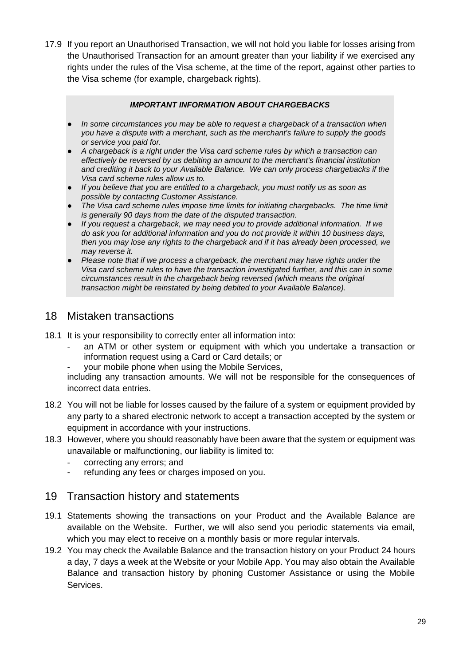17.9 If you report an Unauthorised Transaction, we will not hold you liable for losses arising from the Unauthorised Transaction for an amount greater than your liability if we exercised any rights under the rules of the Visa scheme, at the time of the report, against other parties to the Visa scheme (for example, chargeback rights).

#### *IMPORTANT INFORMATION ABOUT CHARGEBACKS*

- In some circumstances you may be able to request a chargeback of a transaction when *you have a dispute with a merchant, such as the merchant's failure to supply the goods or service you paid for.*
- *A chargeback is a right under the Visa card scheme rules by which a transaction can effectively be reversed by us debiting an amount to the merchant's financial institution and crediting it back to your Available Balance. We can only process chargebacks if the Visa card scheme rules allow us to.*
- *If you believe that you are entitled to a chargeback, you must notify us as soon as possible by contacting Customer Assistance.*
- *The Visa card scheme rules impose time limits for initiating chargebacks. The time limit is generally 90 days from the date of the disputed transaction.*
- *If you request a chargeback, we may need you to provide additional information. If we do ask you for additional information and you do not provide it within 10 business days, then you may lose any rights to the chargeback and if it has already been processed, we may reverse it.*
- Please note that if we process a chargeback, the merchant may have rights under the *Visa card scheme rules to have the transaction investigated further, and this can in some circumstances result in the chargeback being reversed (which means the original transaction might be reinstated by being debited to your Available Balance).*

### <span id="page-36-0"></span>18 Mistaken transactions

- 18.1 It is your responsibility to correctly enter all information into:
	- an ATM or other system or equipment with which you undertake a transaction or information request using a Card or Card details; or
	- your mobile phone when using the Mobile Services,

including any transaction amounts. We will not be responsible for the consequences of incorrect data entries.

- 18.2 You will not be liable for losses caused by the failure of a system or equipment provided by any party to a shared electronic network to accept a transaction accepted by the system or equipment in accordance with your instructions.
- 18.3 However, where you should reasonably have been aware that the system or equipment was unavailable or malfunctioning, our liability is limited to:
	- correcting any errors; and
	- refunding any fees or charges imposed on you.

### <span id="page-36-1"></span>19 Transaction history and statements

- 19.1 Statements showing the transactions on your Product and the Available Balance are available on the Website. Further, we will also send you periodic statements via email, which you may elect to receive on a monthly basis or more regular intervals.
- 19.2 You may check the Available Balance and the transaction history on your Product 24 hours a day, 7 days a week at the Website or your Mobile App. You may also obtain the Available Balance and transaction history by phoning Customer Assistance or using the Mobile Services.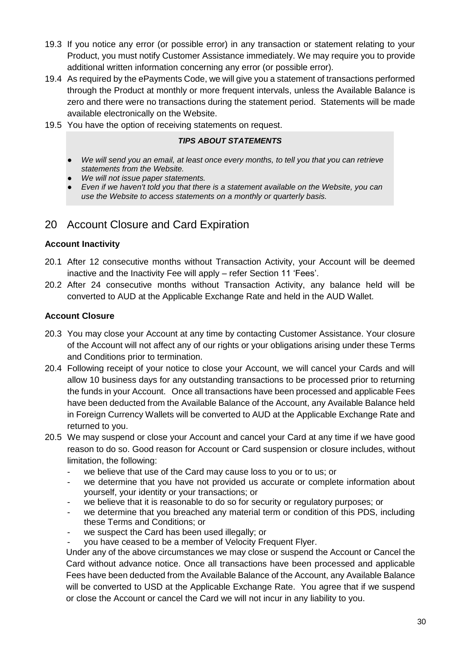- 19.3 If you notice any error (or possible error) in any transaction or statement relating to your Product, you must notify Customer Assistance immediately. We may require you to provide additional written information concerning any error (or possible error).
- 19.4 As required by the ePayments Code, we will give you a statement of transactions performed through the Product at monthly or more frequent intervals, unless the Available Balance is zero and there were no transactions during the statement period. Statements will be made available electronically on the Website.
- 19.5 You have the option of receiving statements on request.

### *TIPS ABOUT STATEMENTS*

- We will send you an email, at least once every months, to tell you that you can retrieve *statements from the Website.*
- *We will not issue paper statements.*
- Even if we haven't told you that there is a statement available on the Website, you can *use the Website to access statements on a monthly or quarterly basis.*

# <span id="page-37-0"></span>20 Account Closure and Card Expiration

#### <span id="page-37-1"></span>**Account Inactivity**

- 20.1 After 12 consecutive months without Transaction Activity, your Account will be deemed inactive and the Inactivity Fee will apply – refer Section 11 'Fees'.
- 20.2 After 24 consecutive months without Transaction Activity, any balance held will be converted to AUD at the Applicable Exchange Rate and held in the AUD Wallet.

#### <span id="page-37-2"></span>**Account Closure**

- 20.3 You may close your Account at any time by contacting Customer Assistance. Your closure of the Account will not affect any of our rights or your obligations arising under these Terms and Conditions prior to termination.
- 20.4 Following receipt of your notice to close your Account, we will cancel your Cards and will allow 10 business days for any outstanding transactions to be processed prior to returning the funds in your Account. Once all transactions have been processed and applicable Fees have been deducted from the Available Balance of the Account, any Available Balance held in Foreign Currency Wallets will be converted to AUD at the Applicable Exchange Rate and returned to you.
- 20.5 We may suspend or close your Account and cancel your Card at any time if we have good reason to do so. Good reason for Account or Card suspension or closure includes, without limitation, the following:
	- we believe that use of the Card may cause loss to you or to us; or
	- we determine that you have not provided us accurate or complete information about yourself, your identity or your transactions; or
	- we believe that it is reasonable to do so for security or regulatory purposes; or
	- we determine that you breached any material term or condition of this PDS, including these Terms and Conditions; or
	- we suspect the Card has been used illegally; or
	- you have ceased to be a member of Velocity Frequent Flyer.

Under any of the above circumstances we may close or suspend the Account or Cancel the Card without advance notice. Once all transactions have been processed and applicable Fees have been deducted from the Available Balance of the Account, any Available Balance will be converted to USD at the Applicable Exchange Rate. You agree that if we suspend or close the Account or cancel the Card we will not incur in any liability to you.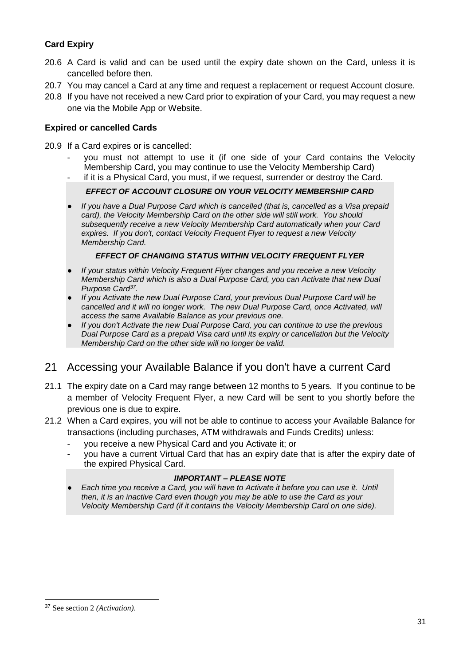### <span id="page-38-0"></span>**Card Expiry**

- 20.6 A Card is valid and can be used until the expiry date shown on the Card, unless it is cancelled before then.
- 20.7 You may cancel a Card at any time and request a replacement or request Account closure.
- 20.8 If you have not received a new Card prior to expiration of your Card, you may request a new one via the Mobile App or Website.

### <span id="page-38-1"></span>**Expired or cancelled Cards**

- 20.9 If a Card expires or is cancelled:
	- you must not attempt to use it (if one side of your Card contains the Velocity Membership Card, you may continue to use the Velocity Membership Card)
	- if it is a Physical Card, you must, if we request, surrender or destroy the Card.

#### *EFFECT OF ACCOUNT CLOSURE ON YOUR VELOCITY MEMBERSHIP CARD*

● *If you have a Dual Purpose Card which is cancelled (that is, cancelled as a Visa prepaid card), the Velocity Membership Card on the other side will still work. You should subsequently receive a new Velocity Membership Card automatically when your Card expires. If you don't, contact Velocity Frequent Flyer to request a new Velocity Membership Card.*

#### *EFFECT OF CHANGING STATUS WITHIN VELOCITY FREQUENT FLYER*

- *If your status within Velocity Frequent Flyer changes and you receive a new Velocity Membership Card which is also a Dual Purpose Card, you can Activate that new Dual Purpose Card<sup>37</sup> .*
- *If you Activate the new Dual Purpose Card, your previous Dual Purpose Card will be cancelled and it will no longer work. The new Dual Purpose Card, once Activated, will access the same Available Balance as your previous one.*
- *If you don't Activate the new Dual Purpose Card, you can continue to use the previous Dual Purpose Card as a prepaid Visa card until its expiry or cancellation but the Velocity Membership Card on the other side will no longer be valid.*

# <span id="page-38-2"></span>21 Accessing your Available Balance if you don't have a current Card

- 21.1 The expiry date on a Card may range between 12 months to 5 years. If you continue to be a member of Velocity Frequent Flyer, a new Card will be sent to you shortly before the previous one is due to expire.
- 21.2 When a Card expires, you will not be able to continue to access your Available Balance for transactions (including purchases, ATM withdrawals and Funds Credits) unless:
	- you receive a new Physical Card and you Activate it; or
	- you have a current Virtual Card that has an expiry date that is after the expiry date of the expired Physical Card.

### *IMPORTANT – PLEASE NOTE*

Each time you receive a Card, you will have to Activate it before you can use it. Until *then, it is an inactive Card even though you may be able to use the Card as your Velocity Membership Card (if it contains the Velocity Membership Card on one side).* 

<sup>37</sup> See section 2 *(Activation)*.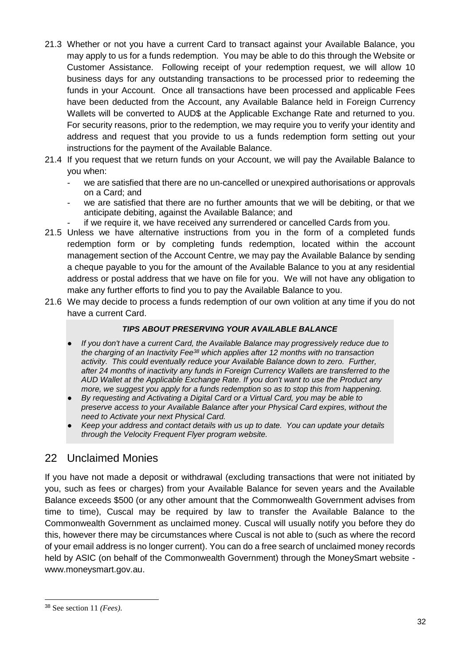- 21.3 Whether or not you have a current Card to transact against your Available Balance, you may apply to us for a funds redemption. You may be able to do this through the Website or Customer Assistance. Following receipt of your redemption request, we will allow 10 business days for any outstanding transactions to be processed prior to redeeming the funds in your Account. Once all transactions have been processed and applicable Fees have been deducted from the Account, any Available Balance held in Foreign Currency Wallets will be converted to AUD\$ at the Applicable Exchange Rate and returned to you. For security reasons, prior to the redemption, we may require you to verify your identity and address and request that you provide to us a funds redemption form setting out your instructions for the payment of the Available Balance.
- 21.4 If you request that we return funds on your Account, we will pay the Available Balance to you when:
	- we are satisfied that there are no un-cancelled or unexpired authorisations or approvals on a Card; and
	- we are satisfied that there are no further amounts that we will be debiting, or that we anticipate debiting, against the Available Balance; and
		- if we require it, we have received any surrendered or cancelled Cards from vou.
- 21.5 Unless we have alternative instructions from you in the form of a completed funds redemption form or by completing funds redemption, located within the account management section of the Account Centre, we may pay the Available Balance by sending a cheque payable to you for the amount of the Available Balance to you at any residential address or postal address that we have on file for you. We will not have any obligation to make any further efforts to find you to pay the Available Balance to you.
- 21.6 We may decide to process a funds redemption of our own volition at any time if you do not have a current Card.

#### *TIPS ABOUT PRESERVING YOUR AVAILABLE BALANCE*

- *If you don't have a current Card, the Available Balance may progressively reduce due to the charging of an Inactivity Fee<sup>38</sup> which applies after 12 months with no transaction activity. This could eventually reduce your Available Balance down to zero. Further, after 24 months of inactivity any funds in Foreign Currency Wallets are transferred to the AUD Wallet at the Applicable Exchange Rate. If you don't want to use the Product any more, we suggest you apply for a funds redemption so as to stop this from happening.*
- **By requesting and Activating a Digital Card or a Virtual Card, you may be able to** *preserve access to your Available Balance after your Physical Card expires, without the need to Activate your next Physical Card.*
- *Keep your address and contact details with us up to date. You can update your details through the Velocity Frequent Flyer program website.*

# <span id="page-39-0"></span>22 Unclaimed Monies

If you have not made a deposit or withdrawal (excluding transactions that were not initiated by you, such as fees or charges) from your Available Balance for seven years and the Available Balance exceeds \$500 (or any other amount that the Commonwealth Government advises from time to time), Cuscal may be required by law to transfer the Available Balance to the Commonwealth Government as unclaimed money. Cuscal will usually notify you before they do this, however there may be circumstances where Cuscal is not able to (such as where the record of your email address is no longer current). You can do a free search of unclaimed money records held by ASIC (on behalf of the Commonwealth Government) through the MoneySmart website [www.moneysmart.gov.au.](http://www.moneysmart.gov.au/)

<sup>38</sup> See section 11 *(Fees)*.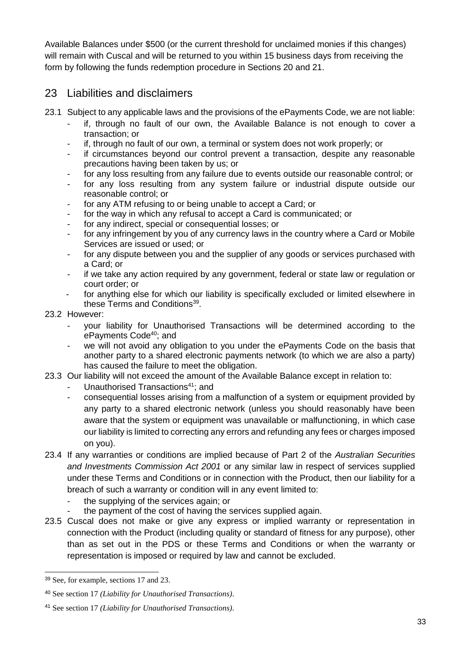Available Balances under \$500 (or the current threshold for unclaimed monies if this changes) will remain with Cuscal and will be returned to you within 15 business days from receiving the form by following the funds redemption procedure in Sections 20 and 21.

# <span id="page-40-0"></span>23 Liabilities and disclaimers

- 23.1 Subject to any applicable laws and the provisions of the ePayments Code, we are not liable:
	- if, through no fault of our own, the Available Balance is not enough to cover a transaction; or
	- if, through no fault of our own, a terminal or system does not work properly; or
	- if circumstances beyond our control prevent a transaction, despite any reasonable precautions having been taken by us; or
	- for any loss resulting from any failure due to events outside our reasonable control; or
	- for any loss resulting from any system failure or industrial dispute outside our reasonable control; or
	- for any ATM refusing to or being unable to accept a Card; or
	- for the way in which any refusal to accept a Card is communicated; or
	- for any indirect, special or consequential losses; or
	- for any infringement by you of any currency laws in the country where a Card or Mobile Services are issued or used; or
	- for any dispute between you and the supplier of any goods or services purchased with a Card; or
	- if we take any action required by any government, federal or state law or regulation or court order; or
	- for anything else for which our liability is specifically excluded or limited elsewhere in these Terms and Conditions<sup>39</sup>.
- 23.2 However:
	- your liability for Unauthorised Transactions will be determined according to the ePayments Code<sup>40</sup>; and
	- we will not avoid any obligation to you under the ePayments Code on the basis that another party to a shared electronic payments network (to which we are also a party) has caused the failure to meet the obligation.
- 23.3 Our liability will not exceed the amount of the Available Balance except in relation to:
	- Unauthorised Transactions<sup>41</sup>; and
	- consequential losses arising from a malfunction of a system or equipment provided by any party to a shared electronic network (unless you should reasonably have been aware that the system or equipment was unavailable or malfunctioning, in which case our liability is limited to correcting any errors and refunding any fees or charges imposed on you).
- 23.4 If any warranties or conditions are implied because of Part 2 of the *Australian Securities and Investments Commission Act 2001* or any similar law in respect of services supplied under these Terms and Conditions or in connection with the Product, then our liability for a breach of such a warranty or condition will in any event limited to:
	- the supplying of the services again; or
	- the payment of the cost of having the services supplied again.
- 23.5 Cuscal does not make or give any express or implied warranty or representation in connection with the Product (including quality or standard of fitness for any purpose), other than as set out in the PDS or these Terms and Conditions or when the warranty or representation is imposed or required by law and cannot be excluded.

l <sup>39</sup> See, for example, sections 17 and 23.

<sup>40</sup> See section 17 *(Liability for Unauthorised Transactions)*.

<sup>41</sup> See section 17 *(Liability for Unauthorised Transactions)*.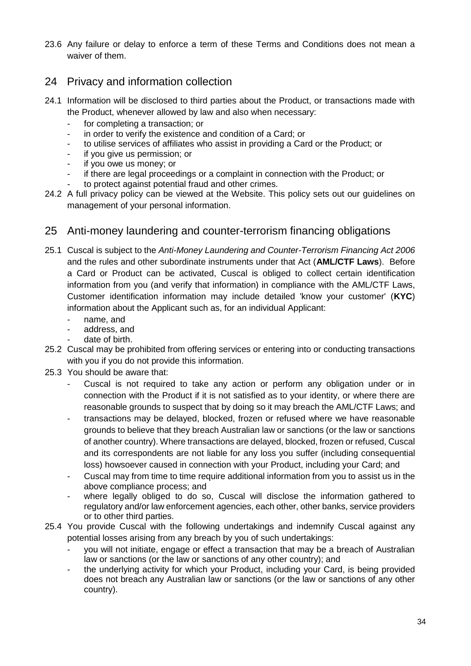23.6 Any failure or delay to enforce a term of these Terms and Conditions does not mean a waiver of them.

# <span id="page-41-0"></span>24 Privacy and information collection

- 24.1 Information will be disclosed to third parties about the Product, or transactions made with the Product, whenever allowed by law and also when necessary:
	- for completing a transaction; or
	- in order to verify the existence and condition of a Card; or
	- to utilise services of affiliates who assist in providing a Card or the Product; or
	- if you give us permission; or
	- if you owe us money; or
	- if there are legal proceedings or a complaint in connection with the Product; or
	- to protect against potential fraud and other crimes.
- 24.2 A full privacy policy can be viewed at the Website. This policy sets out our guidelines on management of your personal information.

### <span id="page-41-1"></span>25 Anti-money laundering and counter-terrorism financing obligations

- 25.1 Cuscal is subject to the *Anti-Money Laundering and Counter-Terrorism Financing Act 2006* and the rules and other subordinate instruments under that Act (**AML/CTF Laws**). Before a Card or Product can be activated, Cuscal is obliged to collect certain identification information from you (and verify that information) in compliance with the AML/CTF Laws, Customer identification information may include detailed 'know your customer' (**KYC**) information about the Applicant such as, for an individual Applicant:
	- name, and
	- address, and
	- date of birth.
- 25.2 Cuscal may be prohibited from offering services or entering into or conducting transactions with you if you do not provide this information.
- 25.3 You should be aware that:
	- Cuscal is not required to take any action or perform any obligation under or in connection with the Product if it is not satisfied as to your identity, or where there are reasonable grounds to suspect that by doing so it may breach the AML/CTF Laws; and
	- transactions may be delayed, blocked, frozen or refused where we have reasonable grounds to believe that they breach Australian law or sanctions (or the law or sanctions of another country). Where transactions are delayed, blocked, frozen or refused, Cuscal and its correspondents are not liable for any loss you suffer (including consequential loss) howsoever caused in connection with your Product, including your Card; and
	- Cuscal may from time to time require additional information from you to assist us in the above compliance process; and
	- where legally obliged to do so, Cuscal will disclose the information gathered to regulatory and/or law enforcement agencies, each other, other banks, service providers or to other third parties.
- 25.4 You provide Cuscal with the following undertakings and indemnify Cuscal against any potential losses arising from any breach by you of such undertakings:
	- you will not initiate, engage or effect a transaction that may be a breach of Australian law or sanctions (or the law or sanctions of any other country); and
	- the underlying activity for which your Product, including your Card, is being provided does not breach any Australian law or sanctions (or the law or sanctions of any other country).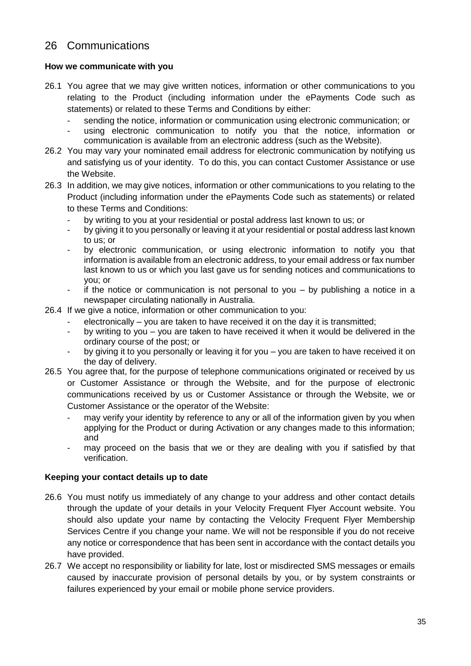# <span id="page-42-0"></span>26 Communications

### <span id="page-42-1"></span>**How we communicate with you**

- 26.1 You agree that we may give written notices, information or other communications to you relating to the Product (including information under the ePayments Code such as statements) or related to these Terms and Conditions by either:
	- sending the notice, information or communication using electronic communication; or
	- using electronic communication to notify you that the notice, information or communication is available from an electronic address (such as the Website).
- 26.2 You may vary your nominated email address for electronic communication by notifying us and satisfying us of your identity. To do this, you can contact Customer Assistance or use the Website.
- 26.3 In addition, we may give notices, information or other communications to you relating to the Product (including information under the ePayments Code such as statements) or related to these Terms and Conditions:
	- by writing to you at your residential or postal address last known to us; or
	- by giving it to you personally or leaving it at your residential or postal address last known to us; or
	- by electronic communication, or using electronic information to notify you that information is available from an electronic address, to your email address or fax number last known to us or which you last gave us for sending notices and communications to you; or
	- if the notice or communication is not personal to you  $-$  by publishing a notice in a newspaper circulating nationally in Australia.
- 26.4 If we give a notice, information or other communication to you:
	- electronically you are taken to have received it on the day it is transmitted:
	- by writing to you you are taken to have received it when it would be delivered in the ordinary course of the post; or
	- by giving it to you personally or leaving it for you you are taken to have received it on the day of delivery.
- 26.5 You agree that, for the purpose of telephone communications originated or received by us or Customer Assistance or through the Website, and for the purpose of electronic communications received by us or Customer Assistance or through the Website, we or Customer Assistance or the operator of the Website:
	- may verify your identity by reference to any or all of the information given by you when applying for the Product or during Activation or any changes made to this information; and
	- may proceed on the basis that we or they are dealing with you if satisfied by that verification.

### <span id="page-42-2"></span>**Keeping your contact details up to date**

- 26.6 You must notify us immediately of any change to your address and other contact details through the update of your details in your Velocity Frequent Flyer Account website. You should also update your name by contacting the Velocity Frequent Flyer Membership Services Centre if you change your name. We will not be responsible if you do not receive any notice or correspondence that has been sent in accordance with the contact details you have provided.
- 26.7 We accept no responsibility or liability for late, lost or misdirected SMS messages or emails caused by inaccurate provision of personal details by you, or by system constraints or failures experienced by your email or mobile phone service providers.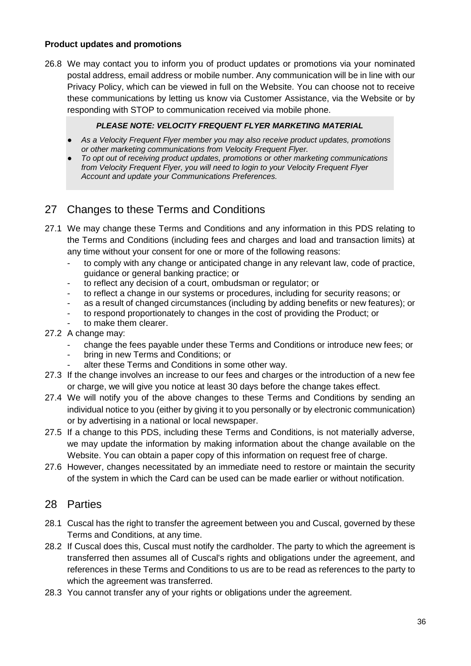### <span id="page-43-0"></span>**Product updates and promotions**

26.8 We may contact you to inform you of product updates or promotions via your nominated postal address, email address or mobile number. Any communication will be in line with our Privacy Policy, which can be viewed in full on the Website. You can choose not to receive these communications by letting us know via Customer Assistance, via the Website or by responding with STOP to communication received via mobile phone.

### *PLEASE NOTE: VELOCITY FREQUENT FLYER MARKETING MATERIAL*

- *As a Velocity Frequent Flyer member you may also receive product updates, promotions or other marketing communications from Velocity Frequent Flyer.*
- *To opt out of receiving product updates, promotions or other marketing communications from Velocity Frequent Flyer, you will need to login to your Velocity Frequent Flyer Account and update your Communications Preferences.*

# <span id="page-43-1"></span>27 Changes to these Terms and Conditions

- 27.1 We may change these Terms and Conditions and any information in this PDS relating to the Terms and Conditions (including fees and charges and load and transaction limits) at any time without your consent for one or more of the following reasons:
	- to comply with any change or anticipated change in any relevant law, code of practice, guidance or general banking practice; or
	- to reflect any decision of a court, ombudsman or regulator; or
	- to reflect a change in our systems or procedures, including for security reasons; or
	- as a result of changed circumstances (including by adding benefits or new features); or
	- to respond proportionately to changes in the cost of providing the Product; or
	- to make them clearer.
- 27.2 A change may:
	- change the fees payable under these Terms and Conditions or introduce new fees; or
	- bring in new Terms and Conditions; or
	- alter these Terms and Conditions in some other way.
- 27.3 If the change involves an increase to our fees and charges or the introduction of a new fee or charge, we will give you notice at least 30 days before the change takes effect.
- 27.4 We will notify you of the above changes to these Terms and Conditions by sending an individual notice to you (either by giving it to you personally or by electronic communication) or by advertising in a national or local newspaper.
- 27.5 If a change to this PDS, including these Terms and Conditions, is not materially adverse, we may update the information by making information about the change available on the Website. You can obtain a paper copy of this information on request free of charge.
- 27.6 However, changes necessitated by an immediate need to restore or maintain the security of the system in which the Card can be used can be made earlier or without notification.

### <span id="page-43-2"></span>28 Parties

- 28.1 Cuscal has the right to transfer the agreement between you and Cuscal, governed by these Terms and Conditions, at any time.
- 28.2 If Cuscal does this, Cuscal must notify the cardholder. The party to which the agreement is transferred then assumes all of Cuscal's rights and obligations under the agreement, and references in these Terms and Conditions to us are to be read as references to the party to which the agreement was transferred.
- 28.3 You cannot transfer any of your rights or obligations under the agreement.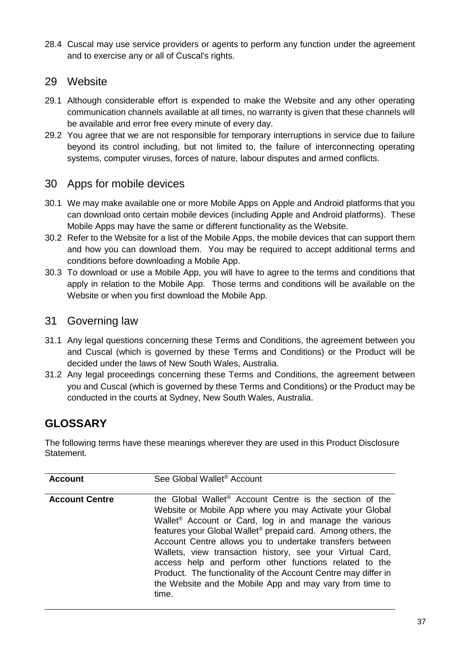28.4 Cuscal may use service providers or agents to perform any function under the agreement and to exercise any or all of Cuscal's rights.

### <span id="page-44-0"></span>29 Website

- 29.1 Although considerable effort is expended to make the Website and any other operating communication channels available at all times, no warranty is given that these channels will be available and error free every minute of every day.
- 29.2 You agree that we are not responsible for temporary interruptions in service due to failure beyond its control including, but not limited to, the failure of interconnecting operating systems, computer viruses, forces of nature, labour disputes and armed conflicts.

### <span id="page-44-1"></span>30 Apps for mobile devices

- 30.1 We may make available one or more Mobile Apps on Apple and Android platforms that you can download onto certain mobile devices (including Apple and Android platforms). These Mobile Apps may have the same or different functionality as the Website.
- 30.2 Refer to the Website for a list of the Mobile Apps, the mobile devices that can support them and how you can download them. You may be required to accept additional terms and conditions before downloading a Mobile App.
- 30.3 To download or use a Mobile App, you will have to agree to the terms and conditions that apply in relation to the Mobile App. Those terms and conditions will be available on the Website or when you first download the Mobile App.

### <span id="page-44-2"></span>31 Governing law

- 31.1 Any legal questions concerning these Terms and Conditions, the agreement between you and Cuscal (which is governed by these Terms and Conditions) or the Product will be decided under the laws of New South Wales, Australia.
- 31.2 Any legal proceedings concerning these Terms and Conditions, the agreement between you and Cuscal (which is governed by these Terms and Conditions) or the Product may be conducted in the courts at Sydney, New South Wales, Australia.

# <span id="page-44-3"></span>**GLOSSARY**

The following terms have these meanings wherever they are used in this Product Disclosure Statement.

| <b>Account</b>        | See Global Wallet <sup>®</sup> Account                                                                                                                                                                                                                                                                                                                                                                                                                                                                                                                                                                      |
|-----------------------|-------------------------------------------------------------------------------------------------------------------------------------------------------------------------------------------------------------------------------------------------------------------------------------------------------------------------------------------------------------------------------------------------------------------------------------------------------------------------------------------------------------------------------------------------------------------------------------------------------------|
| <b>Account Centre</b> | the Global Wallet <sup>®</sup> Account Centre is the section of the<br>Website or Mobile App where you may Activate your Global<br>Wallet <sup>®</sup> Account or Card, log in and manage the various<br>features your Global Wallet <sup>®</sup> prepaid card. Among others, the<br>Account Centre allows you to undertake transfers between<br>Wallets, view transaction history, see your Virtual Card,<br>access help and perform other functions related to the<br>Product. The functionality of the Account Centre may differ in<br>the Website and the Mobile App and may vary from time to<br>time. |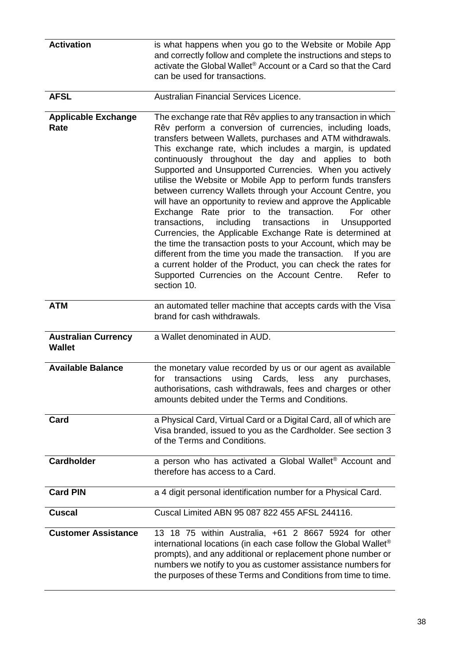| <b>Activation</b>                           | is what happens when you go to the Website or Mobile App<br>and correctly follow and complete the instructions and steps to<br>activate the Global Wallet <sup>®</sup> Account or a Card so that the Card<br>can be used for transactions.                                                                                                                                                                                                                                                                                                                                                                                                                                                                                                                                                                                                                                                                                                                                                                                           |
|---------------------------------------------|--------------------------------------------------------------------------------------------------------------------------------------------------------------------------------------------------------------------------------------------------------------------------------------------------------------------------------------------------------------------------------------------------------------------------------------------------------------------------------------------------------------------------------------------------------------------------------------------------------------------------------------------------------------------------------------------------------------------------------------------------------------------------------------------------------------------------------------------------------------------------------------------------------------------------------------------------------------------------------------------------------------------------------------|
| <b>AFSL</b>                                 | Australian Financial Services Licence.                                                                                                                                                                                                                                                                                                                                                                                                                                                                                                                                                                                                                                                                                                                                                                                                                                                                                                                                                                                               |
| <b>Applicable Exchange</b><br>Rate          | The exchange rate that Rêv applies to any transaction in which<br>Rêv perform a conversion of currencies, including loads,<br>transfers between Wallets, purchases and ATM withdrawals.<br>This exchange rate, which includes a margin, is updated<br>continuously throughout the day and applies to both<br>Supported and Unsupported Currencies. When you actively<br>utilise the Website or Mobile App to perform funds transfers<br>between currency Wallets through your Account Centre, you<br>will have an opportunity to review and approve the Applicable<br>Exchange Rate prior to the transaction.<br>For other<br>transactions,<br>including transactions<br>Unsupported<br>in<br>Currencies, the Applicable Exchange Rate is determined at<br>the time the transaction posts to your Account, which may be<br>different from the time you made the transaction.<br>If you are<br>a current holder of the Product, you can check the rates for<br>Supported Currencies on the Account Centre.<br>Refer to<br>section 10. |
| <b>ATM</b>                                  | an automated teller machine that accepts cards with the Visa<br>brand for cash withdrawals.                                                                                                                                                                                                                                                                                                                                                                                                                                                                                                                                                                                                                                                                                                                                                                                                                                                                                                                                          |
| <b>Australian Currency</b><br><b>Wallet</b> | a Wallet denominated in AUD.                                                                                                                                                                                                                                                                                                                                                                                                                                                                                                                                                                                                                                                                                                                                                                                                                                                                                                                                                                                                         |
| <b>Available Balance</b>                    | the monetary value recorded by us or our agent as available<br>transactions<br>Cards,<br>less<br>any purchases,<br>using<br>for<br>authorisations, cash withdrawals, fees and charges or other<br>amounts debited under the Terms and Conditions.                                                                                                                                                                                                                                                                                                                                                                                                                                                                                                                                                                                                                                                                                                                                                                                    |
| Card                                        | a Physical Card, Virtual Card or a Digital Card, all of which are<br>Visa branded, issued to you as the Cardholder. See section 3<br>of the Terms and Conditions.                                                                                                                                                                                                                                                                                                                                                                                                                                                                                                                                                                                                                                                                                                                                                                                                                                                                    |
| <b>Cardholder</b>                           | a person who has activated a Global Wallet® Account and<br>therefore has access to a Card.                                                                                                                                                                                                                                                                                                                                                                                                                                                                                                                                                                                                                                                                                                                                                                                                                                                                                                                                           |
| <b>Card PIN</b>                             | a 4 digit personal identification number for a Physical Card.                                                                                                                                                                                                                                                                                                                                                                                                                                                                                                                                                                                                                                                                                                                                                                                                                                                                                                                                                                        |
| <b>Cuscal</b>                               | Cuscal Limited ABN 95 087 822 455 AFSL 244116.                                                                                                                                                                                                                                                                                                                                                                                                                                                                                                                                                                                                                                                                                                                                                                                                                                                                                                                                                                                       |
| <b>Customer Assistance</b>                  | 13 18 75 within Australia, +61 2 8667 5924 for other<br>international locations (in each case follow the Global Wallet <sup>®</sup><br>prompts), and any additional or replacement phone number or<br>numbers we notify to you as customer assistance numbers for<br>the purposes of these Terms and Conditions from time to time.                                                                                                                                                                                                                                                                                                                                                                                                                                                                                                                                                                                                                                                                                                   |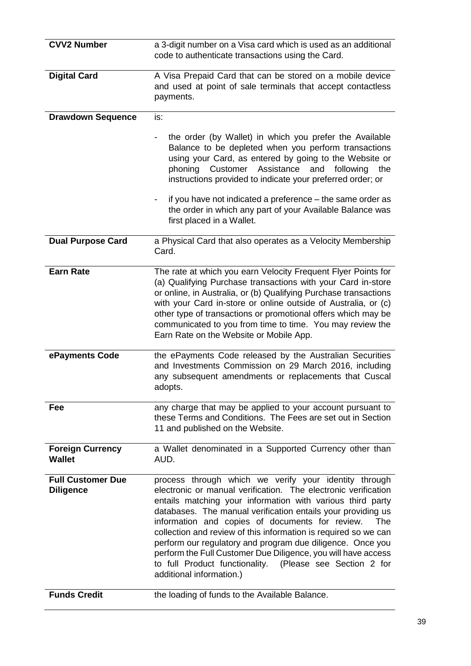| <b>CVV2 Number</b>                           | a 3-digit number on a Visa card which is used as an additional<br>code to authenticate transactions using the Card.                                                                                                                                                                                                                                                                                                                                                                                                                                                                                       |
|----------------------------------------------|-----------------------------------------------------------------------------------------------------------------------------------------------------------------------------------------------------------------------------------------------------------------------------------------------------------------------------------------------------------------------------------------------------------------------------------------------------------------------------------------------------------------------------------------------------------------------------------------------------------|
| <b>Digital Card</b>                          | A Visa Prepaid Card that can be stored on a mobile device<br>and used at point of sale terminals that accept contactless<br>payments.                                                                                                                                                                                                                                                                                                                                                                                                                                                                     |
| <b>Drawdown Sequence</b>                     | is:                                                                                                                                                                                                                                                                                                                                                                                                                                                                                                                                                                                                       |
|                                              | the order (by Wallet) in which you prefer the Available<br>Balance to be depleted when you perform transactions<br>using your Card, as entered by going to the Website or<br>Assistance<br>Customer<br>and<br>phoning<br>following<br>the<br>instructions provided to indicate your preferred order; or                                                                                                                                                                                                                                                                                                   |
|                                              | if you have not indicated a preference - the same order as<br>the order in which any part of your Available Balance was<br>first placed in a Wallet.                                                                                                                                                                                                                                                                                                                                                                                                                                                      |
| <b>Dual Purpose Card</b>                     | a Physical Card that also operates as a Velocity Membership<br>Card.                                                                                                                                                                                                                                                                                                                                                                                                                                                                                                                                      |
| <b>Earn Rate</b>                             | The rate at which you earn Velocity Frequent Flyer Points for<br>(a) Qualifying Purchase transactions with your Card in-store<br>or online, in Australia, or (b) Qualifying Purchase transactions<br>with your Card in-store or online outside of Australia, or (c)<br>other type of transactions or promotional offers which may be<br>communicated to you from time to time. You may review the<br>Earn Rate on the Website or Mobile App.                                                                                                                                                              |
| ePayments Code                               | the ePayments Code released by the Australian Securities<br>and Investments Commission on 29 March 2016, including<br>any subsequent amendments or replacements that Cuscal<br>adopts.                                                                                                                                                                                                                                                                                                                                                                                                                    |
| Fee                                          | any charge that may be applied to your account pursuant to<br>these Terms and Conditions. The Fees are set out in Section<br>11 and published on the Website.                                                                                                                                                                                                                                                                                                                                                                                                                                             |
| <b>Foreign Currency</b><br><b>Wallet</b>     | a Wallet denominated in a Supported Currency other than<br>AUD.                                                                                                                                                                                                                                                                                                                                                                                                                                                                                                                                           |
| <b>Full Customer Due</b><br><b>Diligence</b> | process through which we verify your identity through<br>electronic or manual verification. The electronic verification<br>entails matching your information with various third party<br>databases. The manual verification entails your providing us<br>information and copies of documents for review.<br>The<br>collection and review of this information is required so we can<br>perform our regulatory and program due diligence. Once you<br>perform the Full Customer Due Diligence, you will have access<br>to full Product functionality. (Please see Section 2 for<br>additional information.) |
| <b>Funds Credit</b>                          | the loading of funds to the Available Balance.                                                                                                                                                                                                                                                                                                                                                                                                                                                                                                                                                            |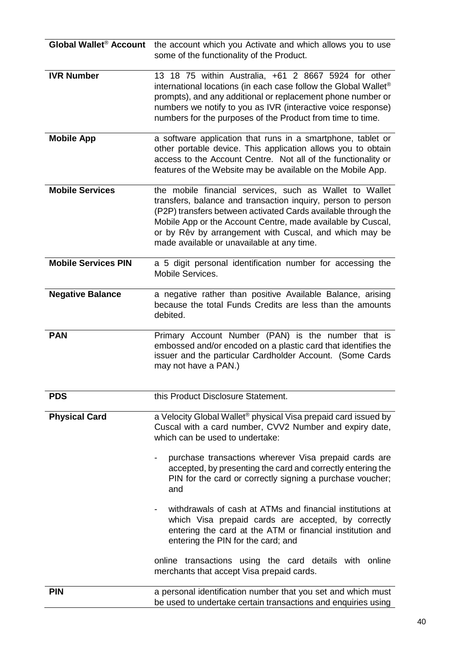| Global Wallet <sup>®</sup> Account | the account which you Activate and which allows you to use<br>some of the functionality of the Product.                                                                                                                                                                                                                                                         |
|------------------------------------|-----------------------------------------------------------------------------------------------------------------------------------------------------------------------------------------------------------------------------------------------------------------------------------------------------------------------------------------------------------------|
| <b>IVR Number</b>                  | 13 18 75 within Australia, +61 2 8667 5924 for other<br>international locations (in each case follow the Global Wallet®<br>prompts), and any additional or replacement phone number or<br>numbers we notify to you as IVR (interactive voice response)<br>numbers for the purposes of the Product from time to time.                                            |
| <b>Mobile App</b>                  | a software application that runs in a smartphone, tablet or<br>other portable device. This application allows you to obtain<br>access to the Account Centre. Not all of the functionality or<br>features of the Website may be available on the Mobile App.                                                                                                     |
| <b>Mobile Services</b>             | the mobile financial services, such as Wallet to Wallet<br>transfers, balance and transaction inquiry, person to person<br>(P2P) transfers between activated Cards available through the<br>Mobile App or the Account Centre, made available by Cuscal,<br>or by Rêv by arrangement with Cuscal, and which may be<br>made available or unavailable at any time. |
| <b>Mobile Services PIN</b>         | a 5 digit personal identification number for accessing the<br>Mobile Services.                                                                                                                                                                                                                                                                                  |
| <b>Negative Balance</b>            | a negative rather than positive Available Balance, arising<br>because the total Funds Credits are less than the amounts<br>debited.                                                                                                                                                                                                                             |
| <b>PAN</b>                         | Primary Account Number (PAN) is the number that is<br>embossed and/or encoded on a plastic card that identifies the<br>issuer and the particular Cardholder Account. (Some Cards<br>may not have a PAN.)                                                                                                                                                        |
| <b>PDS</b>                         | this Product Disclosure Statement.                                                                                                                                                                                                                                                                                                                              |
| <b>Physical Card</b>               | a Velocity Global Wallet® physical Visa prepaid card issued by<br>Cuscal with a card number, CVV2 Number and expiry date,<br>which can be used to undertake:                                                                                                                                                                                                    |
|                                    | purchase transactions wherever Visa prepaid cards are<br>accepted, by presenting the card and correctly entering the<br>PIN for the card or correctly signing a purchase voucher;<br>and                                                                                                                                                                        |
|                                    | withdrawals of cash at ATMs and financial institutions at<br>which Visa prepaid cards are accepted, by correctly<br>entering the card at the ATM or financial institution and<br>entering the PIN for the card; and                                                                                                                                             |
|                                    | online transactions using the card details with online<br>merchants that accept Visa prepaid cards.                                                                                                                                                                                                                                                             |
| <b>PIN</b>                         | a personal identification number that you set and which must<br>be used to undertake certain transactions and enquiries using                                                                                                                                                                                                                                   |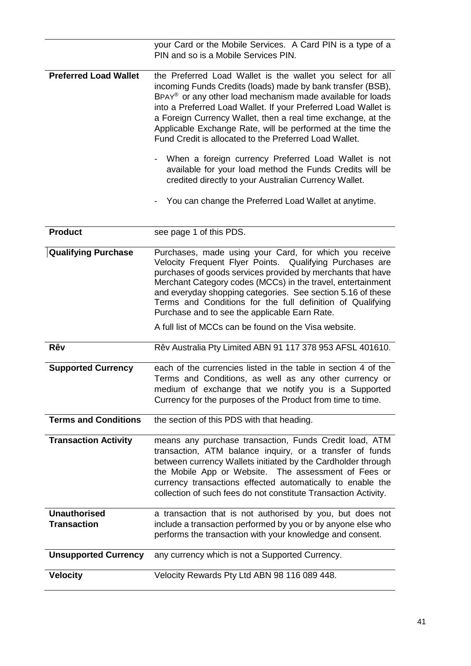|                              | your Card or the Mobile Services. A Card PIN is a type of a<br>PIN and so is a Mobile Services PIN.                                                                                                                                                                                                                                                                                                                                                                                                                                                                                                                                                                                                                                                                 |
|------------------------------|---------------------------------------------------------------------------------------------------------------------------------------------------------------------------------------------------------------------------------------------------------------------------------------------------------------------------------------------------------------------------------------------------------------------------------------------------------------------------------------------------------------------------------------------------------------------------------------------------------------------------------------------------------------------------------------------------------------------------------------------------------------------|
| <b>Preferred Load Wallet</b> | the Preferred Load Wallet is the wallet you select for all<br>incoming Funds Credits (loads) made by bank transfer (BSB),<br>BPAY <sup>®</sup> or any other load mechanism made available for loads<br>into a Preferred Load Wallet. If your Preferred Load Wallet is<br>a Foreign Currency Wallet, then a real time exchange, at the<br>Applicable Exchange Rate, will be performed at the time the<br>Fund Credit is allocated to the Preferred Load Wallet.<br>When a foreign currency Preferred Load Wallet is not<br>$\qquad \qquad \blacksquare$<br>available for your load method the Funds Credits will be<br>credited directly to your Australian Currency Wallet.<br>You can change the Preferred Load Wallet at anytime.<br>$\qquad \qquad \blacksquare$ |
| <b>Product</b>               | see page 1 of this PDS.                                                                                                                                                                                                                                                                                                                                                                                                                                                                                                                                                                                                                                                                                                                                             |
|                              |                                                                                                                                                                                                                                                                                                                                                                                                                                                                                                                                                                                                                                                                                                                                                                     |
| <b>Qualifying Purchase</b>   | Purchases, made using your Card, for which you receive<br>Velocity Frequent Flyer Points. Qualifying Purchases are<br>purchases of goods services provided by merchants that have<br>Merchant Category codes (MCCs) in the travel, entertainment<br>and everyday shopping categories. See section 5.16 of these<br>Terms and Conditions for the full definition of Qualifying<br>Purchase and to see the applicable Earn Rate.                                                                                                                                                                                                                                                                                                                                      |
|                              | A full list of MCCs can be found on the Visa website.                                                                                                                                                                                                                                                                                                                                                                                                                                                                                                                                                                                                                                                                                                               |
| Rêv                          | Rêv Australia Pty Limited ABN 91 117 378 953 AFSL 401610.                                                                                                                                                                                                                                                                                                                                                                                                                                                                                                                                                                                                                                                                                                           |
| <b>Supported Currency</b>    | each of the currencies listed in the table in section 4 of the<br>Terms and Conditions, as well as any other currency or<br>medium of exchange that we notify you is a Supported<br>Currency for the purposes of the Product from time to time.                                                                                                                                                                                                                                                                                                                                                                                                                                                                                                                     |
| <b>Terms and Conditions</b>  | the section of this PDS with that heading.                                                                                                                                                                                                                                                                                                                                                                                                                                                                                                                                                                                                                                                                                                                          |
| <b>Transaction Activity</b>  | means any purchase transaction, Funds Credit load, ATM<br>transaction, ATM balance inquiry, or a transfer of funds<br>between currency Wallets initiated by the Cardholder through<br>the Mobile App or Website. The assessment of Fees or<br>currency transactions effected automatically to enable the<br>collection of such fees do not constitute Transaction Activity.                                                                                                                                                                                                                                                                                                                                                                                         |
| <b>Unauthorised</b>          | a transaction that is not authorised by you, but does not                                                                                                                                                                                                                                                                                                                                                                                                                                                                                                                                                                                                                                                                                                           |
| <b>Transaction</b>           | include a transaction performed by you or by anyone else who<br>performs the transaction with your knowledge and consent.                                                                                                                                                                                                                                                                                                                                                                                                                                                                                                                                                                                                                                           |
| <b>Unsupported Currency</b>  | any currency which is not a Supported Currency.                                                                                                                                                                                                                                                                                                                                                                                                                                                                                                                                                                                                                                                                                                                     |
| <b>Velocity</b>              | Velocity Rewards Pty Ltd ABN 98 116 089 448.                                                                                                                                                                                                                                                                                                                                                                                                                                                                                                                                                                                                                                                                                                                        |